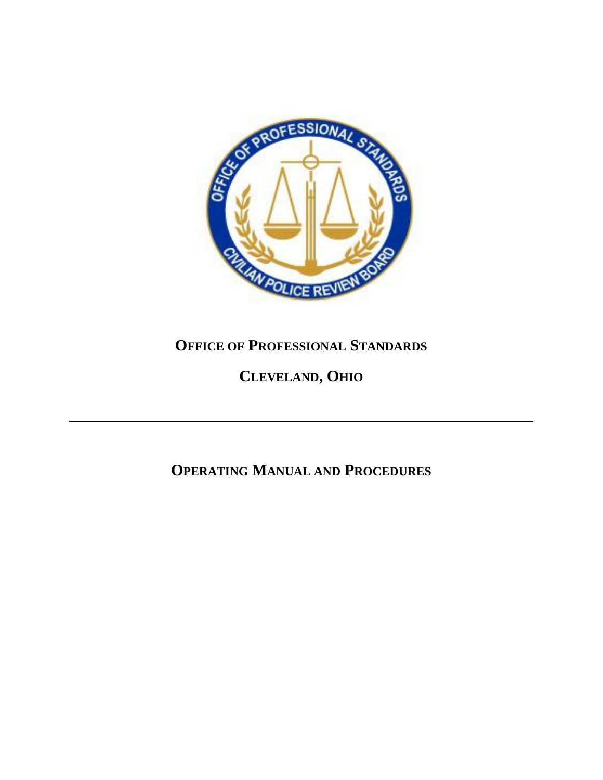

# **OFFICE OF PROFESSIONAL STANDARDS**

# **CLEVELAND, OHIO**

# **OPERATING MANUAL AND PROCEDURES**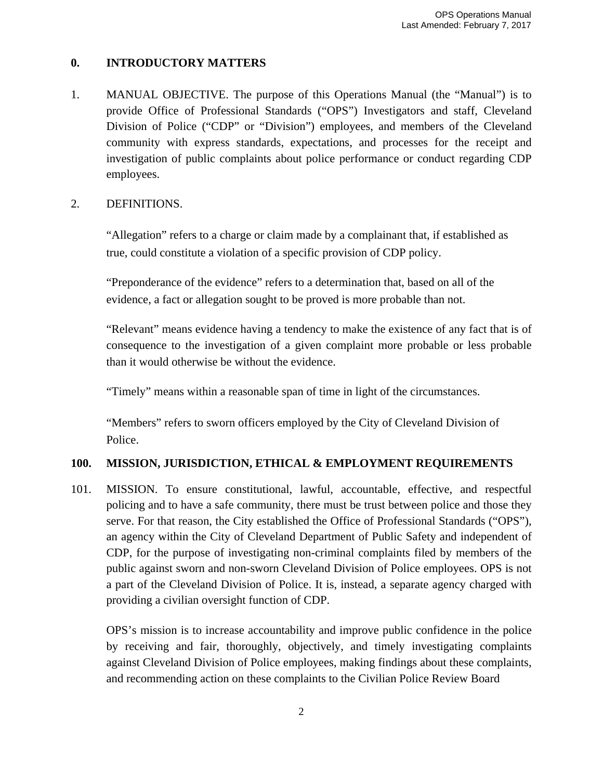# **0. INTRODUCTORY MATTERS**

1. MANUAL OBJECTIVE. The purpose of this Operations Manual (the "Manual") is to provide Office of Professional Standards ("OPS") Investigators and staff, Cleveland Division of Police ("CDP" or "Division") employees, and members of the Cleveland community with express standards, expectations, and processes for the receipt and investigation of public complaints about police performance or conduct regarding CDP employees.

# 2. DEFINITIONS.

"Allegation" refers to a charge or claim made by a complainant that, if established as true, could constitute a violation of a specific provision of CDP policy.

"Preponderance of the evidence" refers to a determination that, based on all of the evidence, a fact or allegation sought to be proved is more probable than not.

"Relevant" means evidence having a tendency to make the existence of any fact that is of consequence to the investigation of a given complaint more probable or less probable than it would otherwise be without the evidence.

"Timely" means within a reasonable span of time in light of the circumstances.

"Members" refers to sworn officers employed by the City of Cleveland Division of Police.

# **100. MISSION, JURISDICTION, ETHICAL & EMPLOYMENT REQUIREMENTS**

101. MISSION. To ensure constitutional, lawful, accountable, effective, and respectful policing and to have a safe community, there must be trust between police and those they serve. For that reason, the City established the Office of Professional Standards ("OPS"), an agency within the City of Cleveland Department of Public Safety and independent of CDP, for the purpose of investigating non-criminal complaints filed by members of the public against sworn and non-sworn Cleveland Division of Police employees. OPS is not a part of the Cleveland Division of Police. It is, instead, a separate agency charged with providing a civilian oversight function of CDP.

OPS's mission is to increase accountability and improve public confidence in the police by receiving and fair, thoroughly, objectively, and timely investigating complaints against Cleveland Division of Police employees, making findings about these complaints, and recommending action on these complaints to the Civilian Police Review Board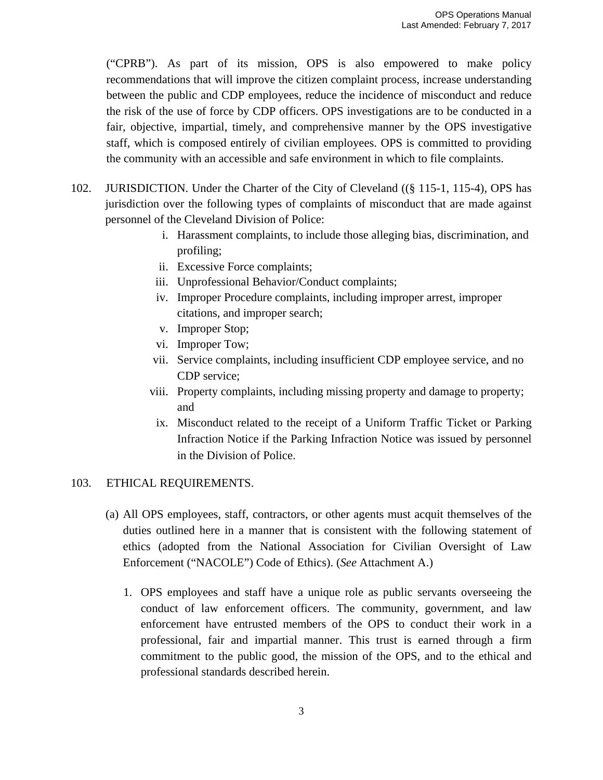("CPRB"). As part of its mission, OPS is also empowered to make policy recommendations that will improve the citizen complaint process, increase understanding between the public and CDP employees, reduce the incidence of misconduct and reduce the risk of the use of force by CDP officers. OPS investigations are to be conducted in a fair, objective, impartial, timely, and comprehensive manner by the OPS investigative staff, which is composed entirely of civilian employees. OPS is committed to providing the community with an accessible and safe environment in which to file complaints.

- 102. JURISDICTION. Under the Charter of the City of Cleveland ((§ 115-1, 115-4), OPS has jurisdiction over the following types of complaints of misconduct that are made against personnel of the Cleveland Division of Police:
	- i. Harassment complaints, to include those alleging bias, discrimination, and profiling;
	- ii. Excessive Force complaints;
	- iii. Unprofessional Behavior/Conduct complaints;
	- iv. Improper Procedure complaints, including improper arrest, improper citations, and improper search;
	- v. Improper Stop;
	- vi. Improper Tow;
	- vii. Service complaints, including insufficient CDP employee service, and no CDP service;
	- viii. Property complaints, including missing property and damage to property; and
	- ix. Misconduct related to the receipt of a Uniform Traffic Ticket or Parking Infraction Notice if the Parking Infraction Notice was issued by personnel in the Division of Police.

# 103. ETHICAL REQUIREMENTS.

- (a) All OPS employees, staff, contractors, or other agents must acquit themselves of the duties outlined here in a manner that is consistent with the following statement of ethics (adopted from the National Association for Civilian Oversight of Law Enforcement ("NACOLE") Code of Ethics). (*See* Attachment A.)
	- 1. OPS employees and staff have a unique role as public servants overseeing the conduct of law enforcement officers. The community, government, and law enforcement have entrusted members of the OPS to conduct their work in a professional, fair and impartial manner. This trust is earned through a firm commitment to the public good, the mission of the OPS, and to the ethical and professional standards described herein.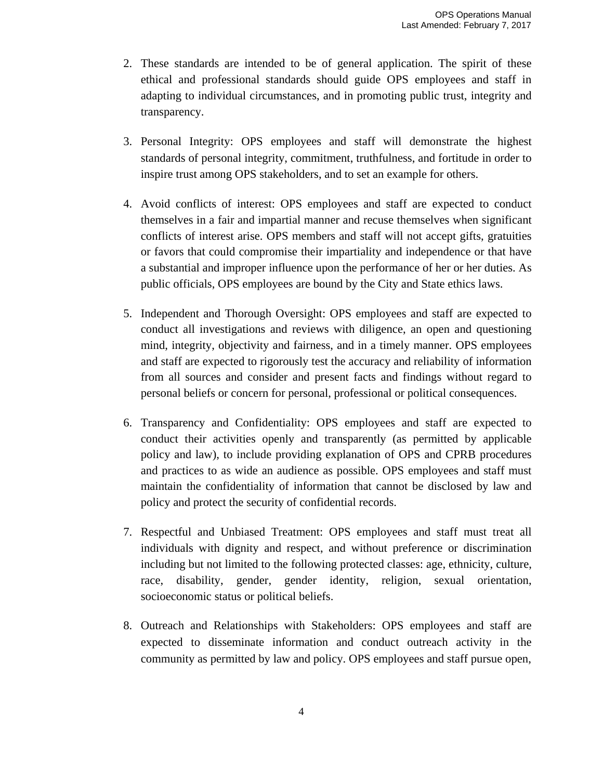- 2. These standards are intended to be of general application. The spirit of these ethical and professional standards should guide OPS employees and staff in adapting to individual circumstances, and in promoting public trust, integrity and transparency.
- 3. Personal Integrity: OPS employees and staff will demonstrate the highest standards of personal integrity, commitment, truthfulness, and fortitude in order to inspire trust among OPS stakeholders, and to set an example for others.
- 4. Avoid conflicts of interest: OPS employees and staff are expected to conduct themselves in a fair and impartial manner and recuse themselves when significant conflicts of interest arise. OPS members and staff will not accept gifts, gratuities or favors that could compromise their impartiality and independence or that have a substantial and improper influence upon the performance of her or her duties. As public officials, OPS employees are bound by the City and State ethics laws.
- 5. Independent and Thorough Oversight: OPS employees and staff are expected to conduct all investigations and reviews with diligence, an open and questioning mind, integrity, objectivity and fairness, and in a timely manner. OPS employees and staff are expected to rigorously test the accuracy and reliability of information from all sources and consider and present facts and findings without regard to personal beliefs or concern for personal, professional or political consequences.
- 6. Transparency and Confidentiality: OPS employees and staff are expected to conduct their activities openly and transparently (as permitted by applicable policy and law), to include providing explanation of OPS and CPRB procedures and practices to as wide an audience as possible. OPS employees and staff must maintain the confidentiality of information that cannot be disclosed by law and policy and protect the security of confidential records.
- 7. Respectful and Unbiased Treatment: OPS employees and staff must treat all individuals with dignity and respect, and without preference or discrimination including but not limited to the following protected classes: age, ethnicity, culture, race, disability, gender, gender identity, religion, sexual orientation, socioeconomic status or political beliefs.
- 8. Outreach and Relationships with Stakeholders: OPS employees and staff are expected to disseminate information and conduct outreach activity in the community as permitted by law and policy. OPS employees and staff pursue open,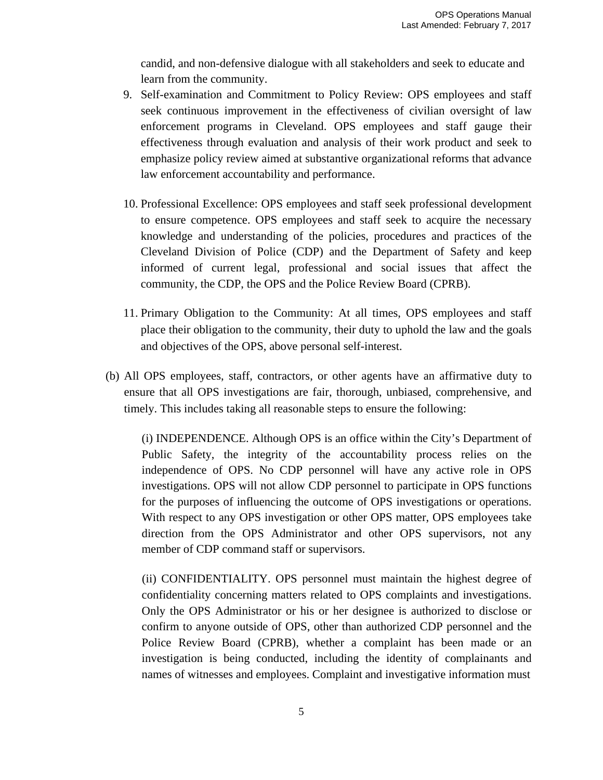candid, and non-defensive dialogue with all stakeholders and seek to educate and learn from the community.

- 9. Self-examination and Commitment to Policy Review: OPS employees and staff seek continuous improvement in the effectiveness of civilian oversight of law enforcement programs in Cleveland. OPS employees and staff gauge their effectiveness through evaluation and analysis of their work product and seek to emphasize policy review aimed at substantive organizational reforms that advance law enforcement accountability and performance.
- 10. Professional Excellence: OPS employees and staff seek professional development to ensure competence. OPS employees and staff seek to acquire the necessary knowledge and understanding of the policies, procedures and practices of the Cleveland Division of Police (CDP) and the Department of Safety and keep informed of current legal, professional and social issues that affect the community, the CDP, the OPS and the Police Review Board (CPRB).
- 11. Primary Obligation to the Community: At all times, OPS employees and staff place their obligation to the community, their duty to uphold the law and the goals and objectives of the OPS, above personal self-interest.
- (b) All OPS employees, staff, contractors, or other agents have an affirmative duty to ensure that all OPS investigations are fair, thorough, unbiased, comprehensive, and timely. This includes taking all reasonable steps to ensure the following:

(i) INDEPENDENCE. Although OPS is an office within the City's Department of Public Safety, the integrity of the accountability process relies on the independence of OPS. No CDP personnel will have any active role in OPS investigations. OPS will not allow CDP personnel to participate in OPS functions for the purposes of influencing the outcome of OPS investigations or operations. With respect to any OPS investigation or other OPS matter, OPS employees take direction from the OPS Administrator and other OPS supervisors, not any member of CDP command staff or supervisors.

(ii) CONFIDENTIALITY. OPS personnel must maintain the highest degree of confidentiality concerning matters related to OPS complaints and investigations. Only the OPS Administrator or his or her designee is authorized to disclose or confirm to anyone outside of OPS, other than authorized CDP personnel and the Police Review Board (CPRB), whether a complaint has been made or an investigation is being conducted, including the identity of complainants and names of witnesses and employees. Complaint and investigative information must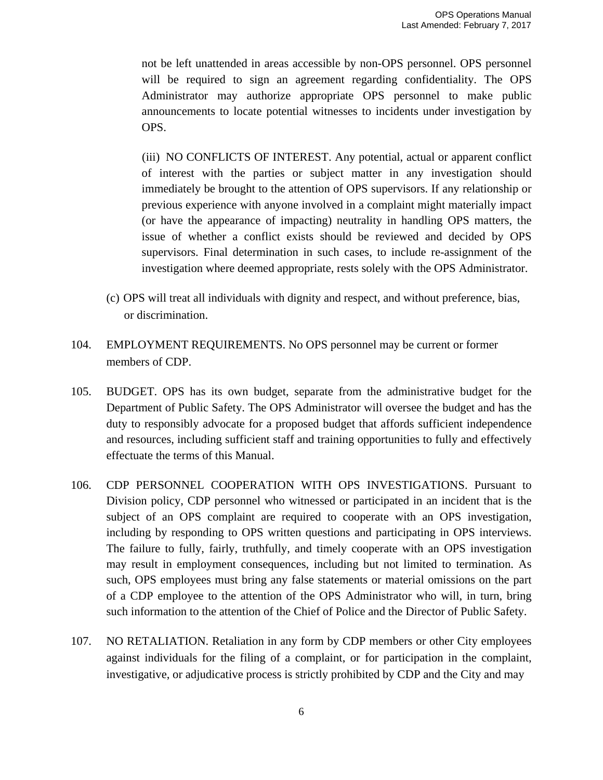not be left unattended in areas accessible by non-OPS personnel. OPS personnel will be required to sign an agreement regarding confidentiality. The OPS Administrator may authorize appropriate OPS personnel to make public announcements to locate potential witnesses to incidents under investigation by OPS.

(iii) NO CONFLICTS OF INTEREST. Any potential, actual or apparent conflict of interest with the parties or subject matter in any investigation should immediately be brought to the attention of OPS supervisors. If any relationship or previous experience with anyone involved in a complaint might materially impact (or have the appearance of impacting) neutrality in handling OPS matters, the issue of whether a conflict exists should be reviewed and decided by OPS supervisors. Final determination in such cases, to include re-assignment of the investigation where deemed appropriate, rests solely with the OPS Administrator.

- (c) OPS will treat all individuals with dignity and respect, and without preference, bias, or discrimination.
- 104. EMPLOYMENT REQUIREMENTS. No OPS personnel may be current or former members of CDP.
- 105. BUDGET. OPS has its own budget, separate from the administrative budget for the Department of Public Safety. The OPS Administrator will oversee the budget and has the duty to responsibly advocate for a proposed budget that affords sufficient independence and resources, including sufficient staff and training opportunities to fully and effectively effectuate the terms of this Manual.
- 106. CDP PERSONNEL COOPERATION WITH OPS INVESTIGATIONS. Pursuant to Division policy, CDP personnel who witnessed or participated in an incident that is the subject of an OPS complaint are required to cooperate with an OPS investigation, including by responding to OPS written questions and participating in OPS interviews. The failure to fully, fairly, truthfully, and timely cooperate with an OPS investigation may result in employment consequences, including but not limited to termination. As such, OPS employees must bring any false statements or material omissions on the part of a CDP employee to the attention of the OPS Administrator who will, in turn, bring such information to the attention of the Chief of Police and the Director of Public Safety.
- 107. NO RETALIATION. Retaliation in any form by CDP members or other City employees against individuals for the filing of a complaint, or for participation in the complaint, investigative, or adjudicative process is strictly prohibited by CDP and the City and may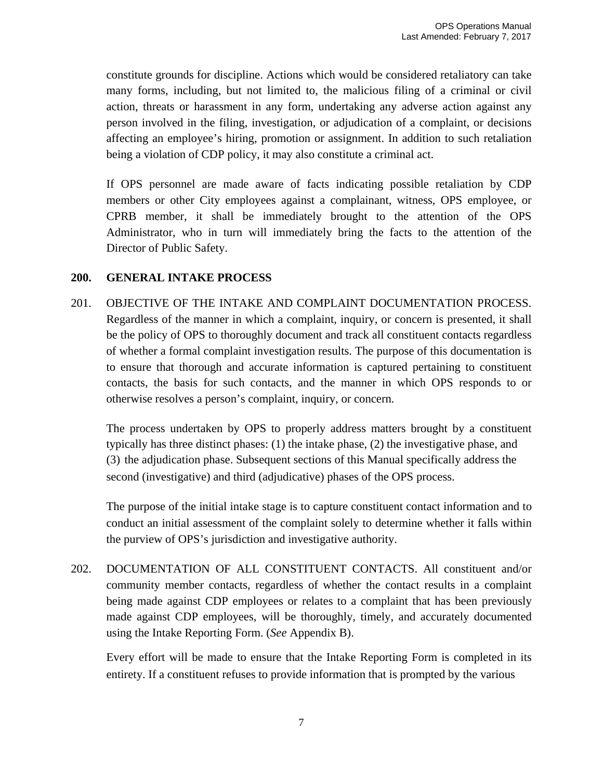constitute grounds for discipline. Actions which would be considered retaliatory can take many forms, including, but not limited to, the malicious filing of a criminal or civil action, threats or harassment in any form, undertaking any adverse action against any person involved in the filing, investigation, or adjudication of a complaint, or decisions affecting an employee's hiring, promotion or assignment. In addition to such retaliation being a violation of CDP policy, it may also constitute a criminal act.

If OPS personnel are made aware of facts indicating possible retaliation by CDP members or other City employees against a complainant, witness, OPS employee, or CPRB member, it shall be immediately brought to the attention of the OPS Administrator, who in turn will immediately bring the facts to the attention of the Director of Public Safety.

# **200. GENERAL INTAKE PROCESS**

201. OBJECTIVE OF THE INTAKE AND COMPLAINT DOCUMENTATION PROCESS. Regardless of the manner in which a complaint, inquiry, or concern is presented, it shall be the policy of OPS to thoroughly document and track all constituent contacts regardless of whether a formal complaint investigation results. The purpose of this documentation is to ensure that thorough and accurate information is captured pertaining to constituent contacts, the basis for such contacts, and the manner in which OPS responds to or otherwise resolves a person's complaint, inquiry, or concern.

The process undertaken by OPS to properly address matters brought by a constituent typically has three distinct phases: (1) the intake phase, (2) the investigative phase, and (3) the adjudication phase. Subsequent sections of this Manual specifically address the second (investigative) and third (adjudicative) phases of the OPS process.

The purpose of the initial intake stage is to capture constituent contact information and to conduct an initial assessment of the complaint solely to determine whether it falls within the purview of OPS's jurisdiction and investigative authority.

202. DOCUMENTATION OF ALL CONSTITUENT CONTACTS. All constituent and/or community member contacts, regardless of whether the contact results in a complaint being made against CDP employees or relates to a complaint that has been previously made against CDP employees, will be thoroughly, timely, and accurately documented using the Intake Reporting Form. (*See* Appendix B).

Every effort will be made to ensure that the Intake Reporting Form is completed in its entirety. If a constituent refuses to provide information that is prompted by the various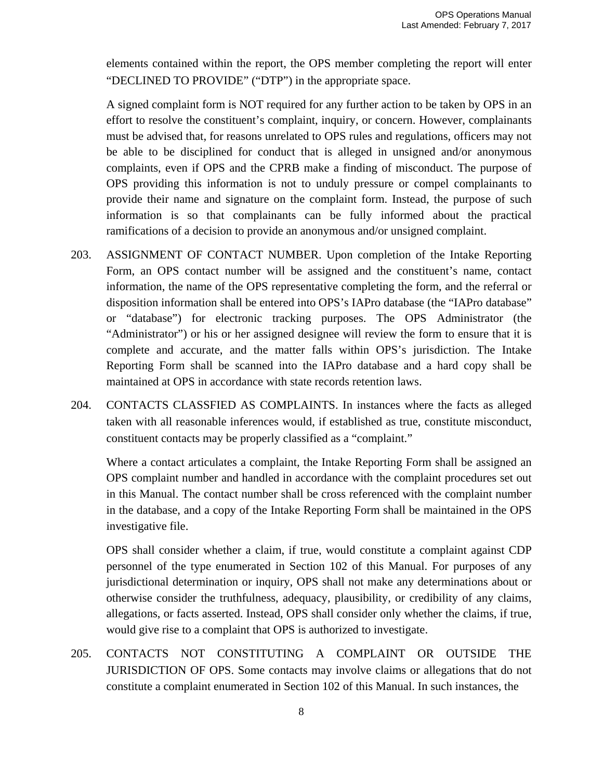elements contained within the report, the OPS member completing the report will enter "DECLINED TO PROVIDE" ("DTP") in the appropriate space.

A signed complaint form is NOT required for any further action to be taken by OPS in an effort to resolve the constituent's complaint, inquiry, or concern. However, complainants must be advised that, for reasons unrelated to OPS rules and regulations, officers may not be able to be disciplined for conduct that is alleged in unsigned and/or anonymous complaints, even if OPS and the CPRB make a finding of misconduct. The purpose of OPS providing this information is not to unduly pressure or compel complainants to provide their name and signature on the complaint form. Instead, the purpose of such information is so that complainants can be fully informed about the practical ramifications of a decision to provide an anonymous and/or unsigned complaint.

- 203. ASSIGNMENT OF CONTACT NUMBER. Upon completion of the Intake Reporting Form, an OPS contact number will be assigned and the constituent's name, contact information, the name of the OPS representative completing the form, and the referral or disposition information shall be entered into OPS's IAPro database (the "IAPro database" or "database") for electronic tracking purposes. The OPS Administrator (the "Administrator") or his or her assigned designee will review the form to ensure that it is complete and accurate, and the matter falls within OPS's jurisdiction. The Intake Reporting Form shall be scanned into the IAPro database and a hard copy shall be maintained at OPS in accordance with state records retention laws.
- 204. CONTACTS CLASSFIED AS COMPLAINTS. In instances where the facts as alleged taken with all reasonable inferences would, if established as true, constitute misconduct, constituent contacts may be properly classified as a "complaint."

Where a contact articulates a complaint, the Intake Reporting Form shall be assigned an OPS complaint number and handled in accordance with the complaint procedures set out in this Manual. The contact number shall be cross referenced with the complaint number in the database, and a copy of the Intake Reporting Form shall be maintained in the OPS investigative file.

OPS shall consider whether a claim, if true, would constitute a complaint against CDP personnel of the type enumerated in Section 102 of this Manual. For purposes of any jurisdictional determination or inquiry, OPS shall not make any determinations about or otherwise consider the truthfulness, adequacy, plausibility, or credibility of any claims, allegations, or facts asserted. Instead, OPS shall consider only whether the claims, if true, would give rise to a complaint that OPS is authorized to investigate.

205. CONTACTS NOT CONSTITUTING A COMPLAINT OR OUTSIDE THE JURISDICTION OF OPS. Some contacts may involve claims or allegations that do not constitute a complaint enumerated in Section 102 of this Manual. In such instances, the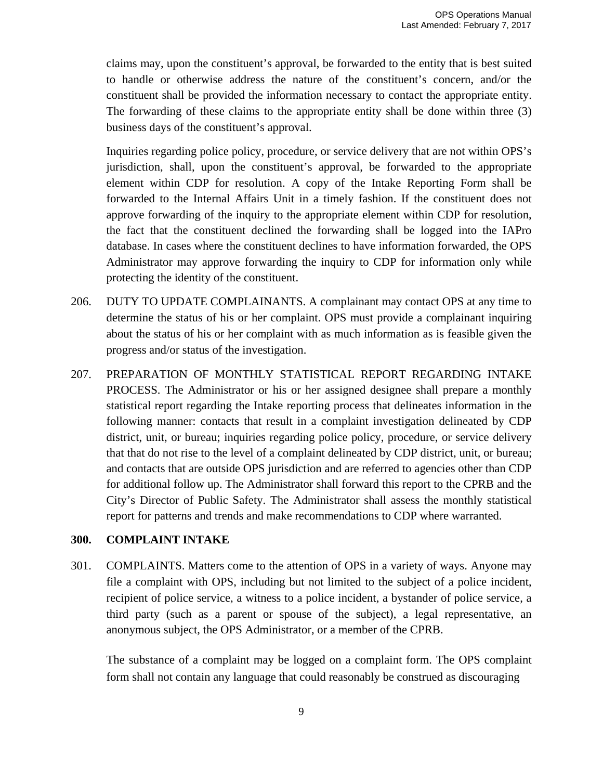claims may, upon the constituent's approval, be forwarded to the entity that is best suited to handle or otherwise address the nature of the constituent's concern, and/or the constituent shall be provided the information necessary to contact the appropriate entity. The forwarding of these claims to the appropriate entity shall be done within three (3) business days of the constituent's approval.

Inquiries regarding police policy, procedure, or service delivery that are not within OPS's jurisdiction, shall, upon the constituent's approval, be forwarded to the appropriate element within CDP for resolution. A copy of the Intake Reporting Form shall be forwarded to the Internal Affairs Unit in a timely fashion. If the constituent does not approve forwarding of the inquiry to the appropriate element within CDP for resolution, the fact that the constituent declined the forwarding shall be logged into the IAPro database. In cases where the constituent declines to have information forwarded, the OPS Administrator may approve forwarding the inquiry to CDP for information only while protecting the identity of the constituent.

- 206. DUTY TO UPDATE COMPLAINANTS. A complainant may contact OPS at any time to determine the status of his or her complaint. OPS must provide a complainant inquiring about the status of his or her complaint with as much information as is feasible given the progress and/or status of the investigation.
- 207. PREPARATION OF MONTHLY STATISTICAL REPORT REGARDING INTAKE PROCESS. The Administrator or his or her assigned designee shall prepare a monthly statistical report regarding the Intake reporting process that delineates information in the following manner: contacts that result in a complaint investigation delineated by CDP district, unit, or bureau; inquiries regarding police policy, procedure, or service delivery that that do not rise to the level of a complaint delineated by CDP district, unit, or bureau; and contacts that are outside OPS jurisdiction and are referred to agencies other than CDP for additional follow up. The Administrator shall forward this report to the CPRB and the City's Director of Public Safety. The Administrator shall assess the monthly statistical report for patterns and trends and make recommendations to CDP where warranted.

## **300. COMPLAINT INTAKE**

301. COMPLAINTS. Matters come to the attention of OPS in a variety of ways. Anyone may file a complaint with OPS, including but not limited to the subject of a police incident, recipient of police service, a witness to a police incident, a bystander of police service, a third party (such as a parent or spouse of the subject), a legal representative, an anonymous subject, the OPS Administrator, or a member of the CPRB.

The substance of a complaint may be logged on a complaint form. The OPS complaint form shall not contain any language that could reasonably be construed as discouraging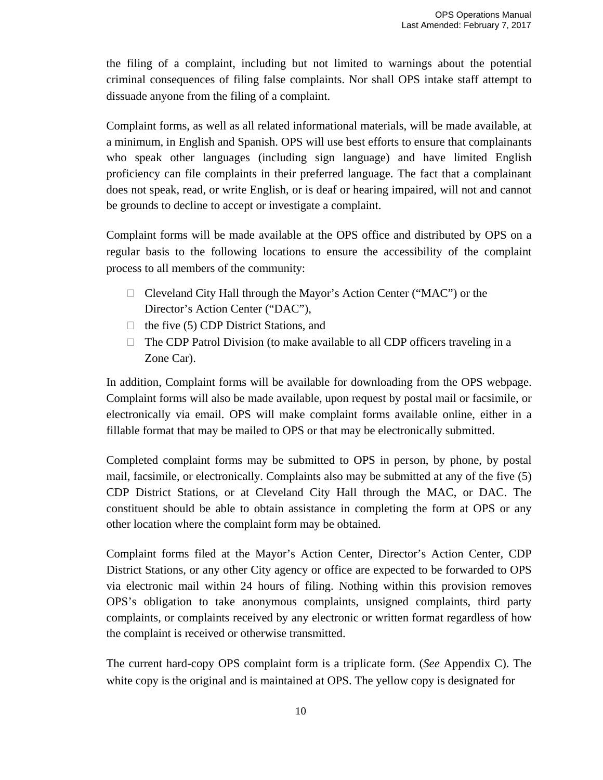the filing of a complaint, including but not limited to warnings about the potential criminal consequences of filing false complaints. Nor shall OPS intake staff attempt to dissuade anyone from the filing of a complaint.

Complaint forms, as well as all related informational materials, will be made available, at a minimum, in English and Spanish. OPS will use best efforts to ensure that complainants who speak other languages (including sign language) and have limited English proficiency can file complaints in their preferred language. The fact that a complainant does not speak, read, or write English, or is deaf or hearing impaired, will not and cannot be grounds to decline to accept or investigate a complaint.

Complaint forms will be made available at the OPS office and distributed by OPS on a regular basis to the following locations to ensure the accessibility of the complaint process to all members of the community:

- □ Cleveland City Hall through the Mayor's Action Center ("MAC") or the Director's Action Center ("DAC"),
- $\Box$  the five (5) CDP District Stations, and
- $\Box$  The CDP Patrol Division (to make available to all CDP officers traveling in a Zone Car).

In addition, Complaint forms will be available for downloading from the OPS webpage. Complaint forms will also be made available, upon request by postal mail or facsimile, or electronically via email. OPS will make complaint forms available online, either in a fillable format that may be mailed to OPS or that may be electronically submitted.

Completed complaint forms may be submitted to OPS in person, by phone, by postal mail, facsimile, or electronically. Complaints also may be submitted at any of the five (5) CDP District Stations, or at Cleveland City Hall through the MAC, or DAC. The constituent should be able to obtain assistance in completing the form at OPS or any other location where the complaint form may be obtained.

Complaint forms filed at the Mayor's Action Center, Director's Action Center, CDP District Stations, or any other City agency or office are expected to be forwarded to OPS via electronic mail within 24 hours of filing. Nothing within this provision removes OPS's obligation to take anonymous complaints, unsigned complaints, third party complaints, or complaints received by any electronic or written format regardless of how the complaint is received or otherwise transmitted.

The current hard-copy OPS complaint form is a triplicate form. (*See* Appendix C). The white copy is the original and is maintained at OPS. The yellow copy is designated for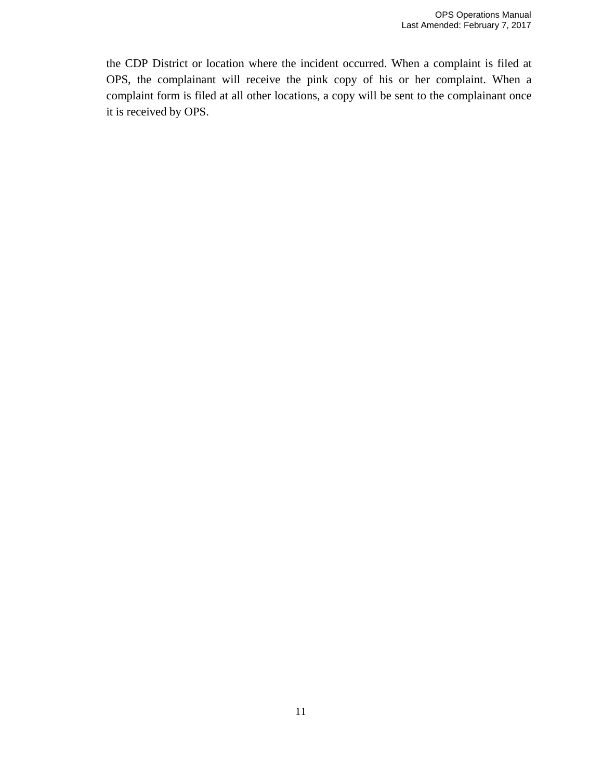the CDP District or location where the incident occurred. When a complaint is filed at OPS, the complainant will receive the pink copy of his or her complaint. When a complaint form is filed at all other locations, a copy will be sent to the complainant once it is received by OPS.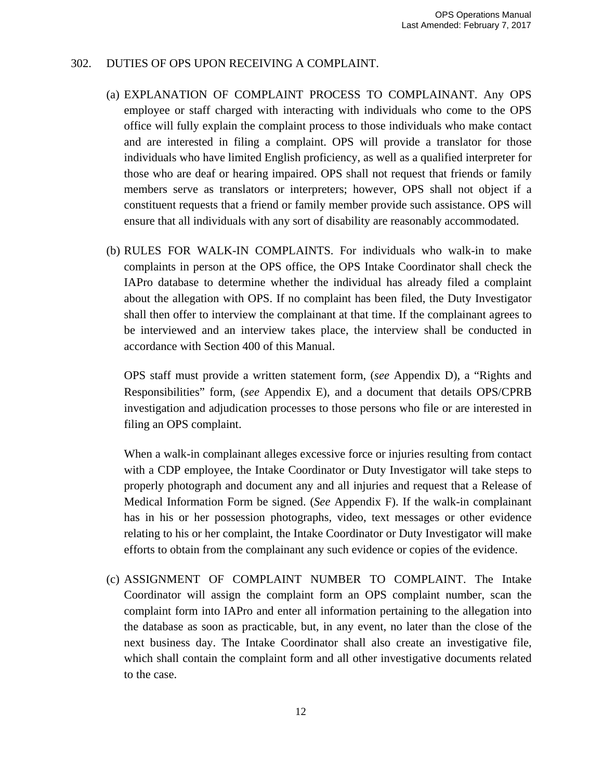### 302. DUTIES OF OPS UPON RECEIVING A COMPLAINT.

- (a) EXPLANATION OF COMPLAINT PROCESS TO COMPLAINANT. Any OPS employee or staff charged with interacting with individuals who come to the OPS office will fully explain the complaint process to those individuals who make contact and are interested in filing a complaint. OPS will provide a translator for those individuals who have limited English proficiency, as well as a qualified interpreter for those who are deaf or hearing impaired. OPS shall not request that friends or family members serve as translators or interpreters; however, OPS shall not object if a constituent requests that a friend or family member provide such assistance. OPS will ensure that all individuals with any sort of disability are reasonably accommodated.
- (b) RULES FOR WALK-IN COMPLAINTS. For individuals who walk-in to make complaints in person at the OPS office, the OPS Intake Coordinator shall check the IAPro database to determine whether the individual has already filed a complaint about the allegation with OPS. If no complaint has been filed, the Duty Investigator shall then offer to interview the complainant at that time. If the complainant agrees to be interviewed and an interview takes place, the interview shall be conducted in accordance with Section 400 of this Manual.

OPS staff must provide a written statement form, (*see* Appendix D), a "Rights and Responsibilities" form, (*see* Appendix E), and a document that details OPS/CPRB investigation and adjudication processes to those persons who file or are interested in filing an OPS complaint.

When a walk-in complainant alleges excessive force or injuries resulting from contact with a CDP employee, the Intake Coordinator or Duty Investigator will take steps to properly photograph and document any and all injuries and request that a Release of Medical Information Form be signed. (*See* Appendix F). If the walk-in complainant has in his or her possession photographs, video, text messages or other evidence relating to his or her complaint, the Intake Coordinator or Duty Investigator will make efforts to obtain from the complainant any such evidence or copies of the evidence.

(c) ASSIGNMENT OF COMPLAINT NUMBER TO COMPLAINT. The Intake Coordinator will assign the complaint form an OPS complaint number, scan the complaint form into IAPro and enter all information pertaining to the allegation into the database as soon as practicable, but, in any event, no later than the close of the next business day. The Intake Coordinator shall also create an investigative file, which shall contain the complaint form and all other investigative documents related to the case.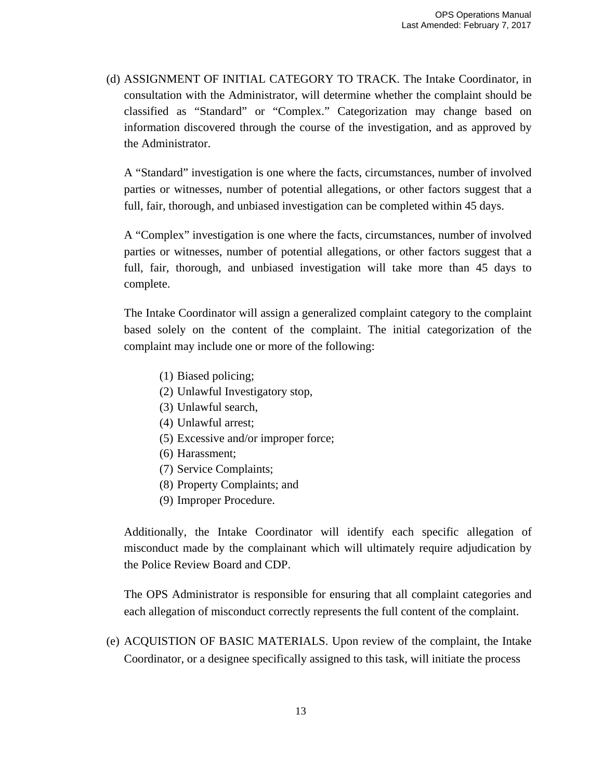(d) ASSIGNMENT OF INITIAL CATEGORY TO TRACK. The Intake Coordinator, in consultation with the Administrator, will determine whether the complaint should be classified as "Standard" or "Complex." Categorization may change based on information discovered through the course of the investigation, and as approved by the Administrator.

A "Standard" investigation is one where the facts, circumstances, number of involved parties or witnesses, number of potential allegations, or other factors suggest that a full, fair, thorough, and unbiased investigation can be completed within 45 days.

A "Complex" investigation is one where the facts, circumstances, number of involved parties or witnesses, number of potential allegations, or other factors suggest that a full, fair, thorough, and unbiased investigation will take more than 45 days to complete.

The Intake Coordinator will assign a generalized complaint category to the complaint based solely on the content of the complaint. The initial categorization of the complaint may include one or more of the following:

- (1) Biased policing;
- (2) Unlawful Investigatory stop,
- (3) Unlawful search,
- (4) Unlawful arrest;
- (5) Excessive and/or improper force;
- (6) Harassment;
- (7) Service Complaints;
- (8) Property Complaints; and
- (9) Improper Procedure.

Additionally, the Intake Coordinator will identify each specific allegation of misconduct made by the complainant which will ultimately require adjudication by the Police Review Board and CDP.

The OPS Administrator is responsible for ensuring that all complaint categories and each allegation of misconduct correctly represents the full content of the complaint.

(e) ACQUISTION OF BASIC MATERIALS. Upon review of the complaint, the Intake Coordinator, or a designee specifically assigned to this task, will initiate the process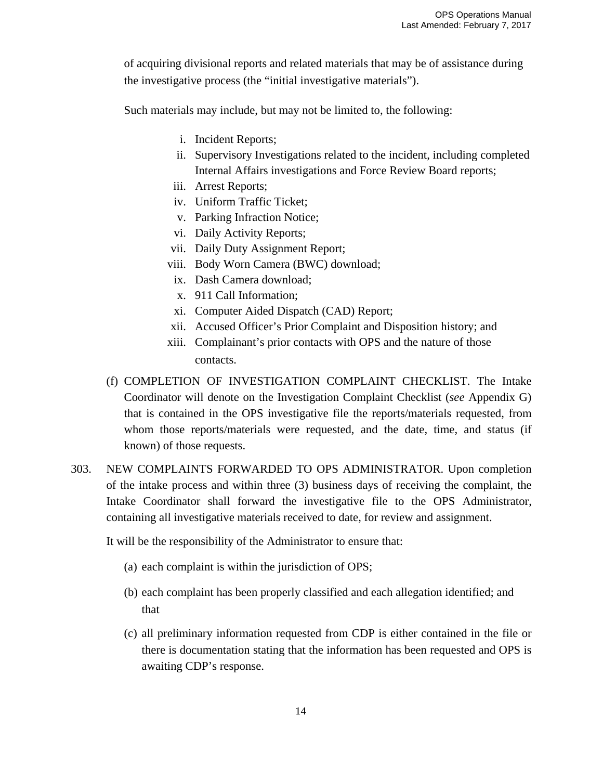of acquiring divisional reports and related materials that may be of assistance during the investigative process (the "initial investigative materials").

Such materials may include, but may not be limited to, the following:

- i. Incident Reports;
- ii. Supervisory Investigations related to the incident, including completed Internal Affairs investigations and Force Review Board reports;
- iii. Arrest Reports;
- iv. Uniform Traffic Ticket;
- v. Parking Infraction Notice;
- vi. Daily Activity Reports;
- vii. Daily Duty Assignment Report;
- viii. Body Worn Camera (BWC) download;
- ix. Dash Camera download;
- x. 911 Call Information;
- xi. Computer Aided Dispatch (CAD) Report;
- xii. Accused Officer's Prior Complaint and Disposition history; and
- xiii. Complainant's prior contacts with OPS and the nature of those contacts.
- (f) COMPLETION OF INVESTIGATION COMPLAINT CHECKLIST. The Intake Coordinator will denote on the Investigation Complaint Checklist (*see* Appendix G) that is contained in the OPS investigative file the reports/materials requested, from whom those reports/materials were requested, and the date, time, and status (if known) of those requests.
- 303. NEW COMPLAINTS FORWARDED TO OPS ADMINISTRATOR. Upon completion of the intake process and within three (3) business days of receiving the complaint, the Intake Coordinator shall forward the investigative file to the OPS Administrator, containing all investigative materials received to date, for review and assignment.

It will be the responsibility of the Administrator to ensure that:

- (a) each complaint is within the jurisdiction of OPS;
- (b) each complaint has been properly classified and each allegation identified; and that
- (c) all preliminary information requested from CDP is either contained in the file or there is documentation stating that the information has been requested and OPS is awaiting CDP's response.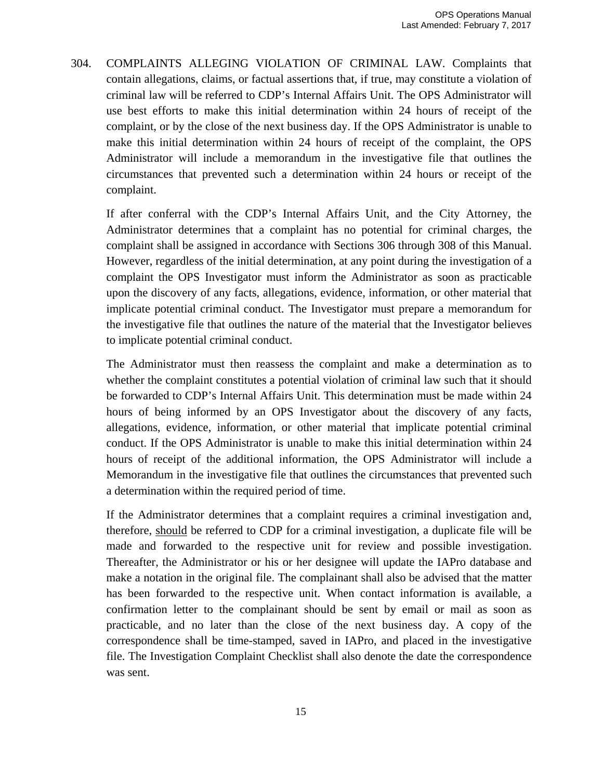304. COMPLAINTS ALLEGING VIOLATION OF CRIMINAL LAW. Complaints that contain allegations, claims, or factual assertions that, if true, may constitute a violation of criminal law will be referred to CDP's Internal Affairs Unit. The OPS Administrator will use best efforts to make this initial determination within 24 hours of receipt of the complaint, or by the close of the next business day. If the OPS Administrator is unable to make this initial determination within 24 hours of receipt of the complaint, the OPS Administrator will include a memorandum in the investigative file that outlines the circumstances that prevented such a determination within 24 hours or receipt of the complaint.

If after conferral with the CDP's Internal Affairs Unit, and the City Attorney, the Administrator determines that a complaint has no potential for criminal charges, the complaint shall be assigned in accordance with Sections 306 through 308 of this Manual. However, regardless of the initial determination, at any point during the investigation of a complaint the OPS Investigator must inform the Administrator as soon as practicable upon the discovery of any facts, allegations, evidence, information, or other material that implicate potential criminal conduct. The Investigator must prepare a memorandum for the investigative file that outlines the nature of the material that the Investigator believes to implicate potential criminal conduct.

The Administrator must then reassess the complaint and make a determination as to whether the complaint constitutes a potential violation of criminal law such that it should be forwarded to CDP's Internal Affairs Unit. This determination must be made within 24 hours of being informed by an OPS Investigator about the discovery of any facts, allegations, evidence, information, or other material that implicate potential criminal conduct. If the OPS Administrator is unable to make this initial determination within 24 hours of receipt of the additional information, the OPS Administrator will include a Memorandum in the investigative file that outlines the circumstances that prevented such a determination within the required period of time.

If the Administrator determines that a complaint requires a criminal investigation and, therefore, should be referred to CDP for a criminal investigation, a duplicate file will be made and forwarded to the respective unit for review and possible investigation. Thereafter, the Administrator or his or her designee will update the IAPro database and make a notation in the original file. The complainant shall also be advised that the matter has been forwarded to the respective unit. When contact information is available, a confirmation letter to the complainant should be sent by email or mail as soon as practicable, and no later than the close of the next business day. A copy of the correspondence shall be time-stamped, saved in IAPro, and placed in the investigative file. The Investigation Complaint Checklist shall also denote the date the correspondence was sent.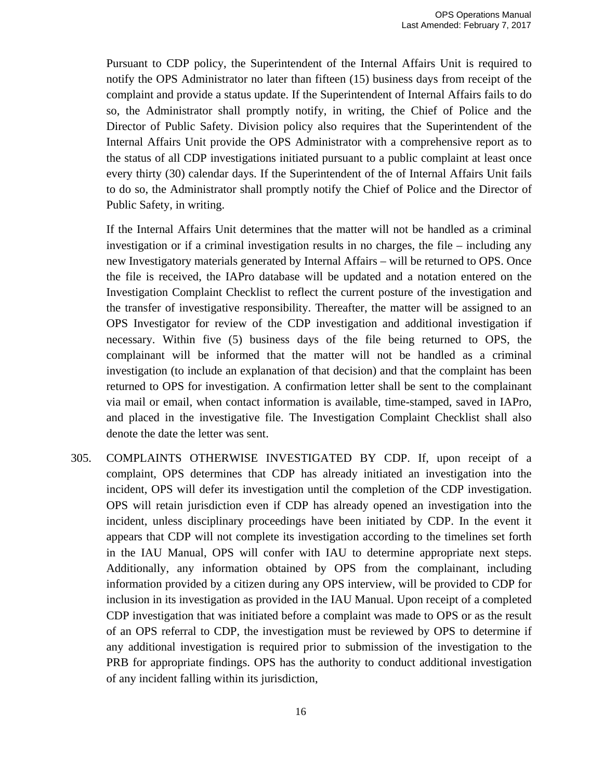Pursuant to CDP policy, the Superintendent of the Internal Affairs Unit is required to notify the OPS Administrator no later than fifteen (15) business days from receipt of the complaint and provide a status update. If the Superintendent of Internal Affairs fails to do so, the Administrator shall promptly notify, in writing, the Chief of Police and the Director of Public Safety. Division policy also requires that the Superintendent of the Internal Affairs Unit provide the OPS Administrator with a comprehensive report as to the status of all CDP investigations initiated pursuant to a public complaint at least once every thirty (30) calendar days. If the Superintendent of the of Internal Affairs Unit fails to do so, the Administrator shall promptly notify the Chief of Police and the Director of Public Safety, in writing.

If the Internal Affairs Unit determines that the matter will not be handled as a criminal investigation or if a criminal investigation results in no charges, the file – including any new Investigatory materials generated by Internal Affairs – will be returned to OPS. Once the file is received, the IAPro database will be updated and a notation entered on the Investigation Complaint Checklist to reflect the current posture of the investigation and the transfer of investigative responsibility. Thereafter, the matter will be assigned to an OPS Investigator for review of the CDP investigation and additional investigation if necessary. Within five (5) business days of the file being returned to OPS, the complainant will be informed that the matter will not be handled as a criminal investigation (to include an explanation of that decision) and that the complaint has been returned to OPS for investigation. A confirmation letter shall be sent to the complainant via mail or email, when contact information is available, time-stamped, saved in IAPro, and placed in the investigative file. The Investigation Complaint Checklist shall also denote the date the letter was sent.

305. COMPLAINTS OTHERWISE INVESTIGATED BY CDP. If, upon receipt of a complaint, OPS determines that CDP has already initiated an investigation into the incident, OPS will defer its investigation until the completion of the CDP investigation. OPS will retain jurisdiction even if CDP has already opened an investigation into the incident, unless disciplinary proceedings have been initiated by CDP. In the event it appears that CDP will not complete its investigation according to the timelines set forth in the IAU Manual, OPS will confer with IAU to determine appropriate next steps. Additionally, any information obtained by OPS from the complainant, including information provided by a citizen during any OPS interview, will be provided to CDP for inclusion in its investigation as provided in the IAU Manual. Upon receipt of a completed CDP investigation that was initiated before a complaint was made to OPS or as the result of an OPS referral to CDP, the investigation must be reviewed by OPS to determine if any additional investigation is required prior to submission of the investigation to the PRB for appropriate findings. OPS has the authority to conduct additional investigation of any incident falling within its jurisdiction,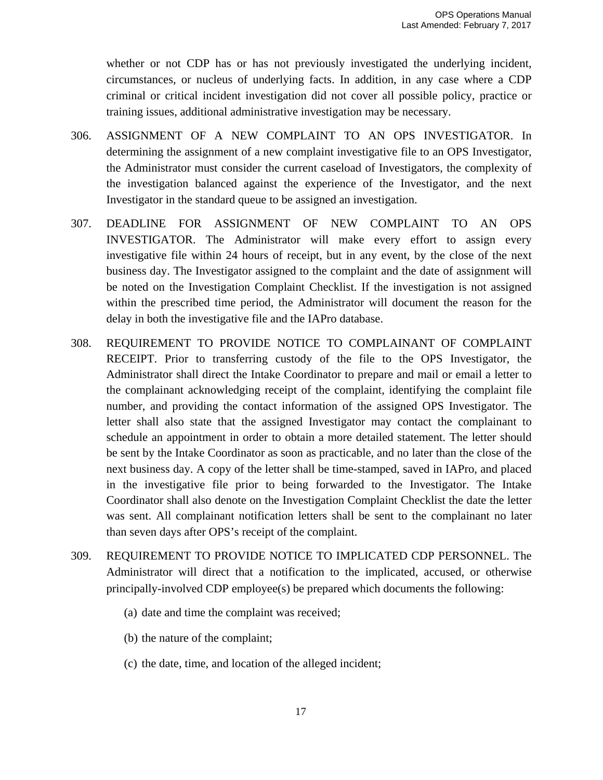whether or not CDP has or has not previously investigated the underlying incident, circumstances, or nucleus of underlying facts. In addition, in any case where a CDP criminal or critical incident investigation did not cover all possible policy, practice or training issues, additional administrative investigation may be necessary.

- 306. ASSIGNMENT OF A NEW COMPLAINT TO AN OPS INVESTIGATOR. In determining the assignment of a new complaint investigative file to an OPS Investigator, the Administrator must consider the current caseload of Investigators, the complexity of the investigation balanced against the experience of the Investigator, and the next Investigator in the standard queue to be assigned an investigation.
- 307. DEADLINE FOR ASSIGNMENT OF NEW COMPLAINT TO AN OPS INVESTIGATOR. The Administrator will make every effort to assign every investigative file within 24 hours of receipt, but in any event, by the close of the next business day. The Investigator assigned to the complaint and the date of assignment will be noted on the Investigation Complaint Checklist. If the investigation is not assigned within the prescribed time period, the Administrator will document the reason for the delay in both the investigative file and the IAPro database.
- 308. REQUIREMENT TO PROVIDE NOTICE TO COMPLAINANT OF COMPLAINT RECEIPT. Prior to transferring custody of the file to the OPS Investigator, the Administrator shall direct the Intake Coordinator to prepare and mail or email a letter to the complainant acknowledging receipt of the complaint, identifying the complaint file number, and providing the contact information of the assigned OPS Investigator. The letter shall also state that the assigned Investigator may contact the complainant to schedule an appointment in order to obtain a more detailed statement. The letter should be sent by the Intake Coordinator as soon as practicable, and no later than the close of the next business day. A copy of the letter shall be time-stamped, saved in IAPro, and placed in the investigative file prior to being forwarded to the Investigator. The Intake Coordinator shall also denote on the Investigation Complaint Checklist the date the letter was sent. All complainant notification letters shall be sent to the complainant no later than seven days after OPS's receipt of the complaint.
- 309. REQUIREMENT TO PROVIDE NOTICE TO IMPLICATED CDP PERSONNEL. The Administrator will direct that a notification to the implicated, accused, or otherwise principally-involved CDP employee(s) be prepared which documents the following:
	- (a) date and time the complaint was received;
	- (b) the nature of the complaint;
	- (c) the date, time, and location of the alleged incident;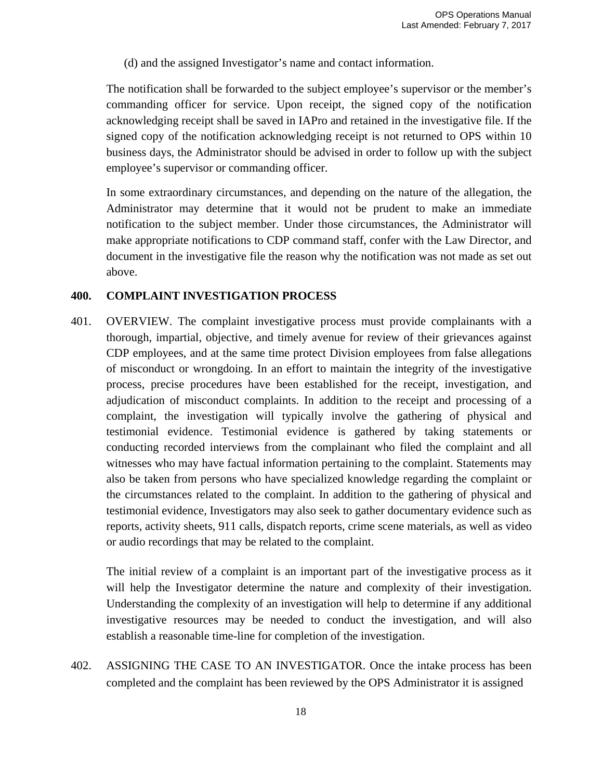(d) and the assigned Investigator's name and contact information.

The notification shall be forwarded to the subject employee's supervisor or the member's commanding officer for service. Upon receipt, the signed copy of the notification acknowledging receipt shall be saved in IAPro and retained in the investigative file. If the signed copy of the notification acknowledging receipt is not returned to OPS within 10 business days, the Administrator should be advised in order to follow up with the subject employee's supervisor or commanding officer.

In some extraordinary circumstances, and depending on the nature of the allegation, the Administrator may determine that it would not be prudent to make an immediate notification to the subject member. Under those circumstances, the Administrator will make appropriate notifications to CDP command staff, confer with the Law Director, and document in the investigative file the reason why the notification was not made as set out above.

#### **400. COMPLAINT INVESTIGATION PROCESS**

401. OVERVIEW. The complaint investigative process must provide complainants with a thorough, impartial, objective, and timely avenue for review of their grievances against CDP employees, and at the same time protect Division employees from false allegations of misconduct or wrongdoing. In an effort to maintain the integrity of the investigative process, precise procedures have been established for the receipt, investigation, and adjudication of misconduct complaints. In addition to the receipt and processing of a complaint, the investigation will typically involve the gathering of physical and testimonial evidence. Testimonial evidence is gathered by taking statements or conducting recorded interviews from the complainant who filed the complaint and all witnesses who may have factual information pertaining to the complaint. Statements may also be taken from persons who have specialized knowledge regarding the complaint or the circumstances related to the complaint. In addition to the gathering of physical and testimonial evidence, Investigators may also seek to gather documentary evidence such as reports, activity sheets, 911 calls, dispatch reports, crime scene materials, as well as video or audio recordings that may be related to the complaint.

The initial review of a complaint is an important part of the investigative process as it will help the Investigator determine the nature and complexity of their investigation. Understanding the complexity of an investigation will help to determine if any additional investigative resources may be needed to conduct the investigation, and will also establish a reasonable time-line for completion of the investigation.

402. ASSIGNING THE CASE TO AN INVESTIGATOR. Once the intake process has been completed and the complaint has been reviewed by the OPS Administrator it is assigned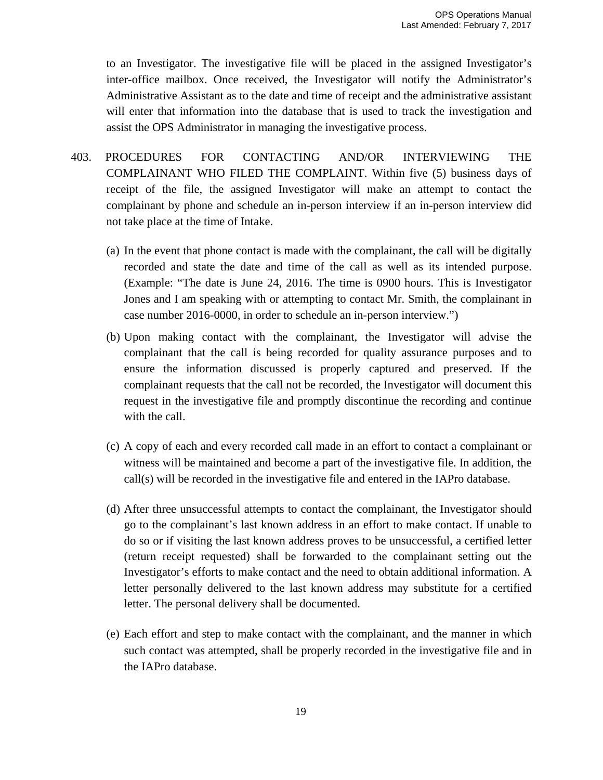to an Investigator. The investigative file will be placed in the assigned Investigator's inter-office mailbox. Once received, the Investigator will notify the Administrator's Administrative Assistant as to the date and time of receipt and the administrative assistant will enter that information into the database that is used to track the investigation and assist the OPS Administrator in managing the investigative process.

- 403. PROCEDURES FOR CONTACTING AND/OR INTERVIEWING THE COMPLAINANT WHO FILED THE COMPLAINT. Within five (5) business days of receipt of the file, the assigned Investigator will make an attempt to contact the complainant by phone and schedule an in-person interview if an in-person interview did not take place at the time of Intake.
	- (a) In the event that phone contact is made with the complainant, the call will be digitally recorded and state the date and time of the call as well as its intended purpose. (Example: "The date is June 24, 2016. The time is 0900 hours. This is Investigator Jones and I am speaking with or attempting to contact Mr. Smith, the complainant in case number 2016-0000, in order to schedule an in-person interview.")
	- (b) Upon making contact with the complainant, the Investigator will advise the complainant that the call is being recorded for quality assurance purposes and to ensure the information discussed is properly captured and preserved. If the complainant requests that the call not be recorded, the Investigator will document this request in the investigative file and promptly discontinue the recording and continue with the call.
	- (c) A copy of each and every recorded call made in an effort to contact a complainant or witness will be maintained and become a part of the investigative file. In addition, the call(s) will be recorded in the investigative file and entered in the IAPro database.
	- (d) After three unsuccessful attempts to contact the complainant, the Investigator should go to the complainant's last known address in an effort to make contact. If unable to do so or if visiting the last known address proves to be unsuccessful, a certified letter (return receipt requested) shall be forwarded to the complainant setting out the Investigator's efforts to make contact and the need to obtain additional information. A letter personally delivered to the last known address may substitute for a certified letter. The personal delivery shall be documented.
	- (e) Each effort and step to make contact with the complainant, and the manner in which such contact was attempted, shall be properly recorded in the investigative file and in the IAPro database.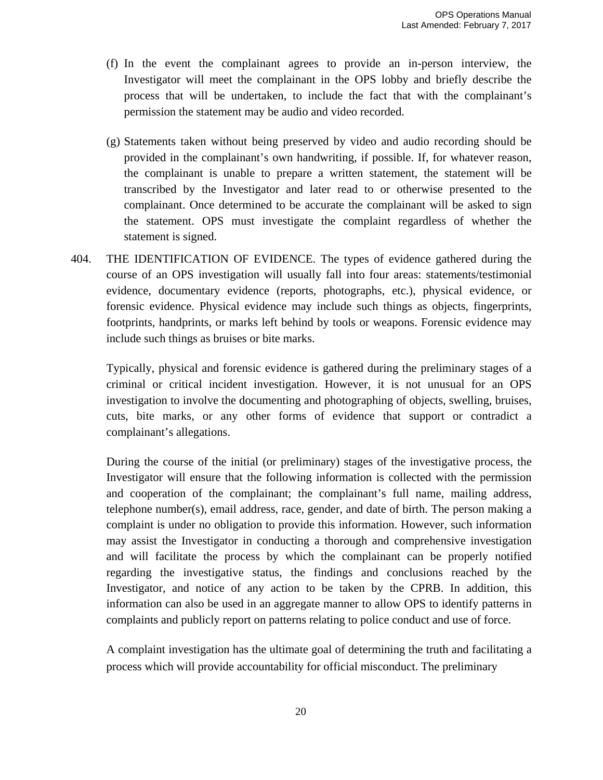- (f) In the event the complainant agrees to provide an in-person interview, the Investigator will meet the complainant in the OPS lobby and briefly describe the process that will be undertaken, to include the fact that with the complainant's permission the statement may be audio and video recorded.
- (g) Statements taken without being preserved by video and audio recording should be provided in the complainant's own handwriting, if possible. If, for whatever reason, the complainant is unable to prepare a written statement, the statement will be transcribed by the Investigator and later read to or otherwise presented to the complainant. Once determined to be accurate the complainant will be asked to sign the statement. OPS must investigate the complaint regardless of whether the statement is signed.
- 404. THE IDENTIFICATION OF EVIDENCE. The types of evidence gathered during the course of an OPS investigation will usually fall into four areas: statements/testimonial evidence, documentary evidence (reports, photographs, etc.), physical evidence, or forensic evidence. Physical evidence may include such things as objects, fingerprints, footprints, handprints, or marks left behind by tools or weapons. Forensic evidence may include such things as bruises or bite marks.

Typically, physical and forensic evidence is gathered during the preliminary stages of a criminal or critical incident investigation. However, it is not unusual for an OPS investigation to involve the documenting and photographing of objects, swelling, bruises, cuts, bite marks, or any other forms of evidence that support or contradict a complainant's allegations.

During the course of the initial (or preliminary) stages of the investigative process, the Investigator will ensure that the following information is collected with the permission and cooperation of the complainant; the complainant's full name, mailing address, telephone number(s), email address, race, gender, and date of birth. The person making a complaint is under no obligation to provide this information. However, such information may assist the Investigator in conducting a thorough and comprehensive investigation and will facilitate the process by which the complainant can be properly notified regarding the investigative status, the findings and conclusions reached by the Investigator, and notice of any action to be taken by the CPRB. In addition, this information can also be used in an aggregate manner to allow OPS to identify patterns in complaints and publicly report on patterns relating to police conduct and use of force.

A complaint investigation has the ultimate goal of determining the truth and facilitating a process which will provide accountability for official misconduct. The preliminary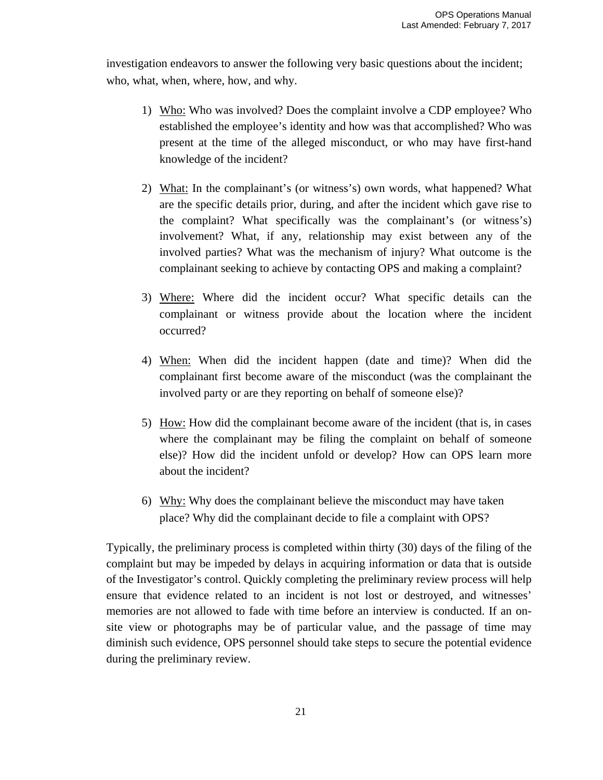investigation endeavors to answer the following very basic questions about the incident; who, what, when, where, how, and why.

- 1) Who: Who was involved? Does the complaint involve a CDP employee? Who established the employee's identity and how was that accomplished? Who was present at the time of the alleged misconduct, or who may have first-hand knowledge of the incident?
- 2) What: In the complainant's (or witness's) own words, what happened? What are the specific details prior, during, and after the incident which gave rise to the complaint? What specifically was the complainant's (or witness's) involvement? What, if any, relationship may exist between any of the involved parties? What was the mechanism of injury? What outcome is the complainant seeking to achieve by contacting OPS and making a complaint?
- 3) Where: Where did the incident occur? What specific details can the complainant or witness provide about the location where the incident occurred?
- 4) When: When did the incident happen (date and time)? When did the complainant first become aware of the misconduct (was the complainant the involved party or are they reporting on behalf of someone else)?
- 5) How: How did the complainant become aware of the incident (that is, in cases where the complainant may be filing the complaint on behalf of someone else)? How did the incident unfold or develop? How can OPS learn more about the incident?
- 6) Why: Why does the complainant believe the misconduct may have taken place? Why did the complainant decide to file a complaint with OPS?

Typically, the preliminary process is completed within thirty (30) days of the filing of the complaint but may be impeded by delays in acquiring information or data that is outside of the Investigator's control. Quickly completing the preliminary review process will help ensure that evidence related to an incident is not lost or destroyed, and witnesses' memories are not allowed to fade with time before an interview is conducted. If an onsite view or photographs may be of particular value, and the passage of time may diminish such evidence, OPS personnel should take steps to secure the potential evidence during the preliminary review.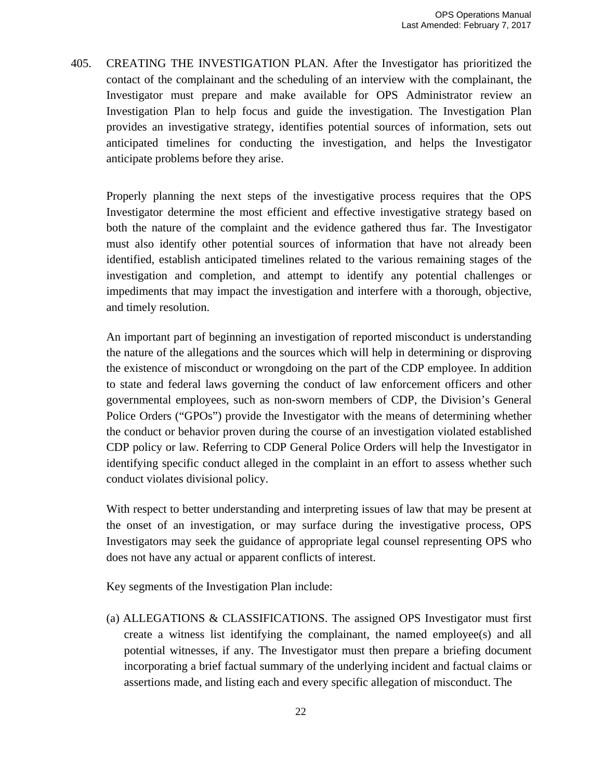405. CREATING THE INVESTIGATION PLAN. After the Investigator has prioritized the contact of the complainant and the scheduling of an interview with the complainant, the Investigator must prepare and make available for OPS Administrator review an Investigation Plan to help focus and guide the investigation. The Investigation Plan provides an investigative strategy, identifies potential sources of information, sets out anticipated timelines for conducting the investigation, and helps the Investigator anticipate problems before they arise.

Properly planning the next steps of the investigative process requires that the OPS Investigator determine the most efficient and effective investigative strategy based on both the nature of the complaint and the evidence gathered thus far. The Investigator must also identify other potential sources of information that have not already been identified, establish anticipated timelines related to the various remaining stages of the investigation and completion, and attempt to identify any potential challenges or impediments that may impact the investigation and interfere with a thorough, objective, and timely resolution.

An important part of beginning an investigation of reported misconduct is understanding the nature of the allegations and the sources which will help in determining or disproving the existence of misconduct or wrongdoing on the part of the CDP employee. In addition to state and federal laws governing the conduct of law enforcement officers and other governmental employees, such as non-sworn members of CDP, the Division's General Police Orders ("GPOs") provide the Investigator with the means of determining whether the conduct or behavior proven during the course of an investigation violated established CDP policy or law. Referring to CDP General Police Orders will help the Investigator in identifying specific conduct alleged in the complaint in an effort to assess whether such conduct violates divisional policy.

With respect to better understanding and interpreting issues of law that may be present at the onset of an investigation, or may surface during the investigative process, OPS Investigators may seek the guidance of appropriate legal counsel representing OPS who does not have any actual or apparent conflicts of interest.

Key segments of the Investigation Plan include:

(a) ALLEGATIONS & CLASSIFICATIONS. The assigned OPS Investigator must first create a witness list identifying the complainant, the named employee(s) and all potential witnesses, if any. The Investigator must then prepare a briefing document incorporating a brief factual summary of the underlying incident and factual claims or assertions made, and listing each and every specific allegation of misconduct. The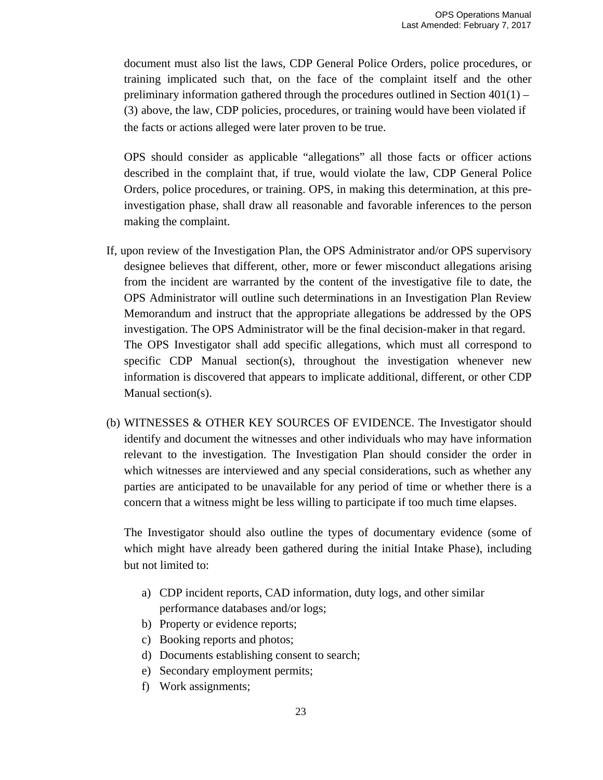document must also list the laws, CDP General Police Orders, police procedures, or training implicated such that, on the face of the complaint itself and the other preliminary information gathered through the procedures outlined in Section 401(1) – (3) above, the law, CDP policies, procedures, or training would have been violated if the facts or actions alleged were later proven to be true.

OPS should consider as applicable "allegations" all those facts or officer actions described in the complaint that, if true, would violate the law, CDP General Police Orders, police procedures, or training. OPS, in making this determination, at this preinvestigation phase, shall draw all reasonable and favorable inferences to the person making the complaint.

- If, upon review of the Investigation Plan, the OPS Administrator and/or OPS supervisory designee believes that different, other, more or fewer misconduct allegations arising from the incident are warranted by the content of the investigative file to date, the OPS Administrator will outline such determinations in an Investigation Plan Review Memorandum and instruct that the appropriate allegations be addressed by the OPS investigation. The OPS Administrator will be the final decision-maker in that regard. The OPS Investigator shall add specific allegations, which must all correspond to specific CDP Manual section(s), throughout the investigation whenever new information is discovered that appears to implicate additional, different, or other CDP Manual section(s).
- (b) WITNESSES & OTHER KEY SOURCES OF EVIDENCE. The Investigator should identify and document the witnesses and other individuals who may have information relevant to the investigation. The Investigation Plan should consider the order in which witnesses are interviewed and any special considerations, such as whether any parties are anticipated to be unavailable for any period of time or whether there is a concern that a witness might be less willing to participate if too much time elapses.

The Investigator should also outline the types of documentary evidence (some of which might have already been gathered during the initial Intake Phase), including but not limited to:

- a) CDP incident reports, CAD information, duty logs, and other similar performance databases and/or logs;
- b) Property or evidence reports;
- c) Booking reports and photos;
- d) Documents establishing consent to search;
- e) Secondary employment permits;
- f) Work assignments;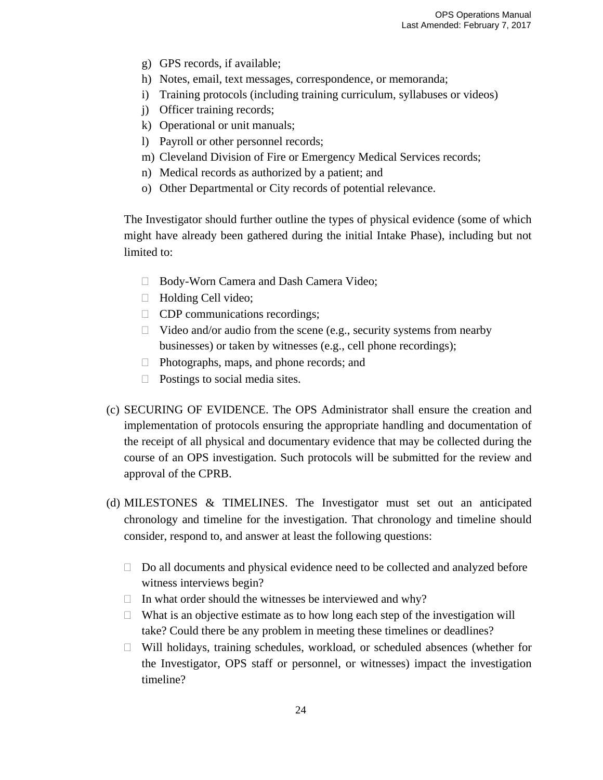- g) GPS records, if available;
- h) Notes, email, text messages, correspondence, or memoranda;
- i) Training protocols (including training curriculum, syllabuses or videos)
- j) Officer training records;
- k) Operational or unit manuals;
- l) Payroll or other personnel records;
- m) Cleveland Division of Fire or Emergency Medical Services records;
- n) Medical records as authorized by a patient; and
- o) Other Departmental or City records of potential relevance.

The Investigator should further outline the types of physical evidence (some of which might have already been gathered during the initial Intake Phase), including but not limited to:

- □ Body-Worn Camera and Dash Camera Video;
- $\Box$  Holding Cell video;
- **CDP** communications recordings;
- $\Box$  Video and/or audio from the scene (e.g., security systems from nearby businesses) or taken by witnesses (e.g., cell phone recordings);
- □ Photographs, maps, and phone records; and
- $\Box$  Postings to social media sites.
- (c) SECURING OF EVIDENCE. The OPS Administrator shall ensure the creation and implementation of protocols ensuring the appropriate handling and documentation of the receipt of all physical and documentary evidence that may be collected during the course of an OPS investigation. Such protocols will be submitted for the review and approval of the CPRB.
- (d) MILESTONES & TIMELINES. The Investigator must set out an anticipated chronology and timeline for the investigation. That chronology and timeline should consider, respond to, and answer at least the following questions:
	- $\Box$  Do all documents and physical evidence need to be collected and analyzed before witness interviews begin?
	- $\Box$  In what order should the witnesses be interviewed and why?
	- $\Box$  What is an objective estimate as to how long each step of the investigation will take? Could there be any problem in meeting these timelines or deadlines?
	- $\Box$  Will holidays, training schedules, workload, or scheduled absences (whether for the Investigator, OPS staff or personnel, or witnesses) impact the investigation timeline?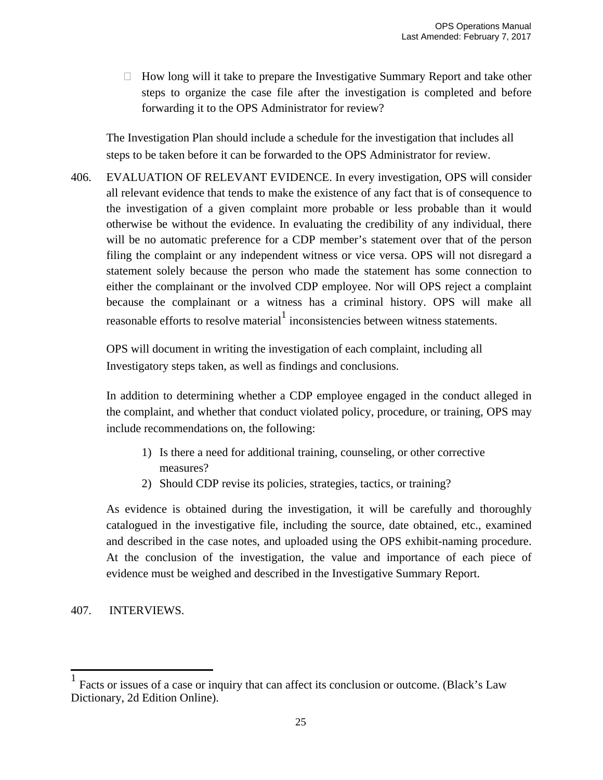$\Box$  How long will it take to prepare the Investigative Summary Report and take other steps to organize the case file after the investigation is completed and before forwarding it to the OPS Administrator for review?

The Investigation Plan should include a schedule for the investigation that includes all steps to be taken before it can be forwarded to the OPS Administrator for review.

406. EVALUATION OF RELEVANT EVIDENCE. In every investigation, OPS will consider all relevant evidence that tends to make the existence of any fact that is of consequence to the investigation of a given complaint more probable or less probable than it would otherwise be without the evidence. In evaluating the credibility of any individual, there will be no automatic preference for a CDP member's statement over that of the person filing the complaint or any independent witness or vice versa. OPS will not disregard a statement solely because the person who made the statement has some connection to either the complainant or the involved CDP employee. Nor will OPS reject a complaint because the complainant or a witness has a criminal history. OPS will make all reasonable efforts to resolve material inconsistencies between witness statements.

OPS will document in writing the investigation of each complaint, including all Investigatory steps taken, as well as findings and conclusions.

In addition to determining whether a CDP employee engaged in the conduct alleged in the complaint, and whether that conduct violated policy, procedure, or training, OPS may include recommendations on, the following:

- 1) Is there a need for additional training, counseling, or other corrective measures?
- 2) Should CDP revise its policies, strategies, tactics, or training?

As evidence is obtained during the investigation, it will be carefully and thoroughly catalogued in the investigative file, including the source, date obtained, etc., examined and described in the case notes, and uploaded using the OPS exhibit-naming procedure. At the conclusion of the investigation, the value and importance of each piece of evidence must be weighed and described in the Investigative Summary Report.

# 407. INTERVIEWS.

 $<sup>1</sup>$  Facts or issues of a case or inquiry that can affect its conclusion or outcome. (Black's Law</sup> Dictionary, 2d Edition Online).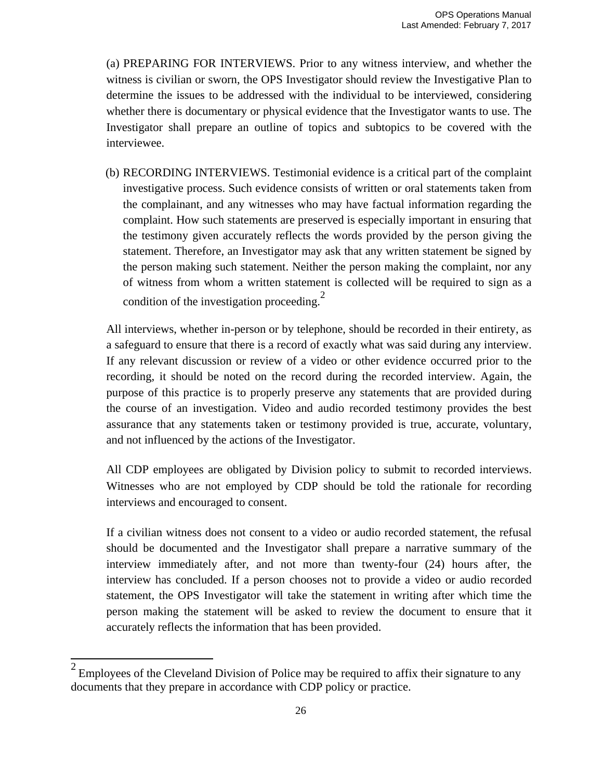(a) PREPARING FOR INTERVIEWS. Prior to any witness interview, and whether the witness is civilian or sworn, the OPS Investigator should review the Investigative Plan to determine the issues to be addressed with the individual to be interviewed, considering whether there is documentary or physical evidence that the Investigator wants to use. The Investigator shall prepare an outline of topics and subtopics to be covered with the interviewee.

(b) RECORDING INTERVIEWS. Testimonial evidence is a critical part of the complaint investigative process. Such evidence consists of written or oral statements taken from the complainant, and any witnesses who may have factual information regarding the complaint. How such statements are preserved is especially important in ensuring that the testimony given accurately reflects the words provided by the person giving the statement. Therefore, an Investigator may ask that any written statement be signed by the person making such statement. Neither the person making the complaint, nor any of witness from whom a written statement is collected will be required to sign as a condition of the investigation proceeding.<sup>2</sup>

All interviews, whether in-person or by telephone, should be recorded in their entirety, as a safeguard to ensure that there is a record of exactly what was said during any interview. If any relevant discussion or review of a video or other evidence occurred prior to the recording, it should be noted on the record during the recorded interview. Again, the purpose of this practice is to properly preserve any statements that are provided during the course of an investigation. Video and audio recorded testimony provides the best assurance that any statements taken or testimony provided is true, accurate, voluntary, and not influenced by the actions of the Investigator.

All CDP employees are obligated by Division policy to submit to recorded interviews. Witnesses who are not employed by CDP should be told the rationale for recording interviews and encouraged to consent.

If a civilian witness does not consent to a video or audio recorded statement, the refusal should be documented and the Investigator shall prepare a narrative summary of the interview immediately after, and not more than twenty-four (24) hours after, the interview has concluded. If a person chooses not to provide a video or audio recorded statement, the OPS Investigator will take the statement in writing after which time the person making the statement will be asked to review the document to ensure that it accurately reflects the information that has been provided.

 $2 \text{ }$  Employees of the Cleveland Division of Police may be required to affix their signature to any documents that they prepare in accordance with CDP policy or practice.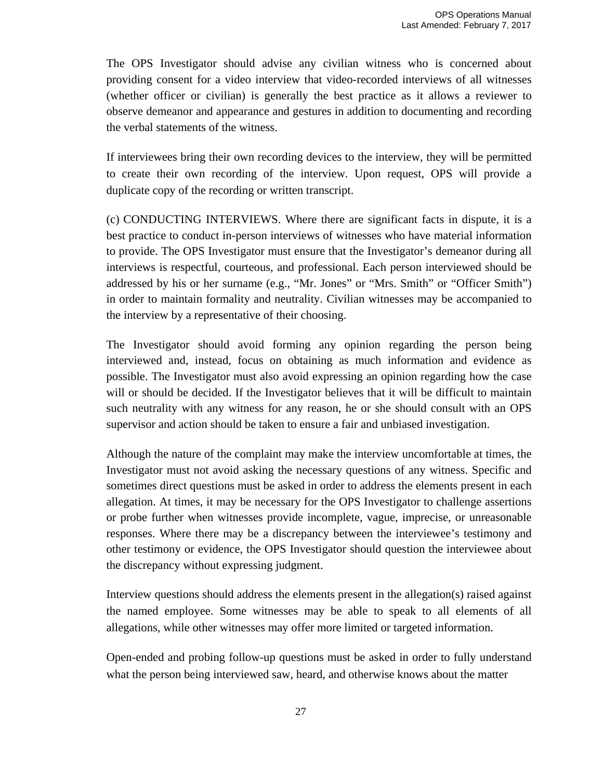The OPS Investigator should advise any civilian witness who is concerned about providing consent for a video interview that video-recorded interviews of all witnesses (whether officer or civilian) is generally the best practice as it allows a reviewer to observe demeanor and appearance and gestures in addition to documenting and recording the verbal statements of the witness.

If interviewees bring their own recording devices to the interview, they will be permitted to create their own recording of the interview. Upon request, OPS will provide a duplicate copy of the recording or written transcript.

(c) CONDUCTING INTERVIEWS. Where there are significant facts in dispute, it is a best practice to conduct in-person interviews of witnesses who have material information to provide. The OPS Investigator must ensure that the Investigator's demeanor during all interviews is respectful, courteous, and professional. Each person interviewed should be addressed by his or her surname (e.g., "Mr. Jones" or "Mrs. Smith" or "Officer Smith") in order to maintain formality and neutrality. Civilian witnesses may be accompanied to the interview by a representative of their choosing.

The Investigator should avoid forming any opinion regarding the person being interviewed and, instead, focus on obtaining as much information and evidence as possible. The Investigator must also avoid expressing an opinion regarding how the case will or should be decided. If the Investigator believes that it will be difficult to maintain such neutrality with any witness for any reason, he or she should consult with an OPS supervisor and action should be taken to ensure a fair and unbiased investigation.

Although the nature of the complaint may make the interview uncomfortable at times, the Investigator must not avoid asking the necessary questions of any witness. Specific and sometimes direct questions must be asked in order to address the elements present in each allegation. At times, it may be necessary for the OPS Investigator to challenge assertions or probe further when witnesses provide incomplete, vague, imprecise, or unreasonable responses. Where there may be a discrepancy between the interviewee's testimony and other testimony or evidence, the OPS Investigator should question the interviewee about the discrepancy without expressing judgment.

Interview questions should address the elements present in the allegation(s) raised against the named employee. Some witnesses may be able to speak to all elements of all allegations, while other witnesses may offer more limited or targeted information.

Open-ended and probing follow-up questions must be asked in order to fully understand what the person being interviewed saw, heard, and otherwise knows about the matter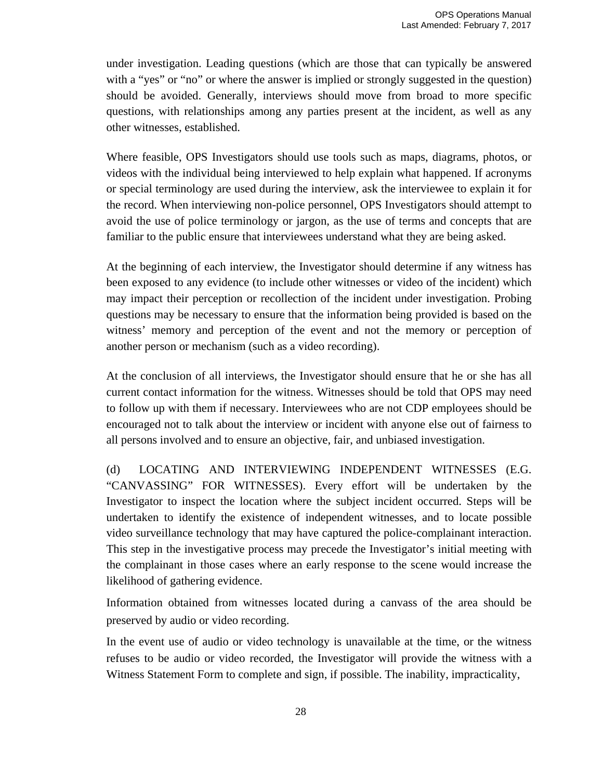under investigation. Leading questions (which are those that can typically be answered with a "yes" or "no" or where the answer is implied or strongly suggested in the question) should be avoided. Generally, interviews should move from broad to more specific questions, with relationships among any parties present at the incident, as well as any other witnesses, established.

Where feasible, OPS Investigators should use tools such as maps, diagrams, photos, or videos with the individual being interviewed to help explain what happened. If acronyms or special terminology are used during the interview, ask the interviewee to explain it for the record. When interviewing non-police personnel, OPS Investigators should attempt to avoid the use of police terminology or jargon, as the use of terms and concepts that are familiar to the public ensure that interviewees understand what they are being asked.

At the beginning of each interview, the Investigator should determine if any witness has been exposed to any evidence (to include other witnesses or video of the incident) which may impact their perception or recollection of the incident under investigation. Probing questions may be necessary to ensure that the information being provided is based on the witness' memory and perception of the event and not the memory or perception of another person or mechanism (such as a video recording).

At the conclusion of all interviews, the Investigator should ensure that he or she has all current contact information for the witness. Witnesses should be told that OPS may need to follow up with them if necessary. Interviewees who are not CDP employees should be encouraged not to talk about the interview or incident with anyone else out of fairness to all persons involved and to ensure an objective, fair, and unbiased investigation.

(d) LOCATING AND INTERVIEWING INDEPENDENT WITNESSES (E.G. "CANVASSING" FOR WITNESSES). Every effort will be undertaken by the Investigator to inspect the location where the subject incident occurred. Steps will be undertaken to identify the existence of independent witnesses, and to locate possible video surveillance technology that may have captured the police-complainant interaction. This step in the investigative process may precede the Investigator's initial meeting with the complainant in those cases where an early response to the scene would increase the likelihood of gathering evidence.

Information obtained from witnesses located during a canvass of the area should be preserved by audio or video recording.

In the event use of audio or video technology is unavailable at the time, or the witness refuses to be audio or video recorded, the Investigator will provide the witness with a Witness Statement Form to complete and sign, if possible. The inability, impracticality,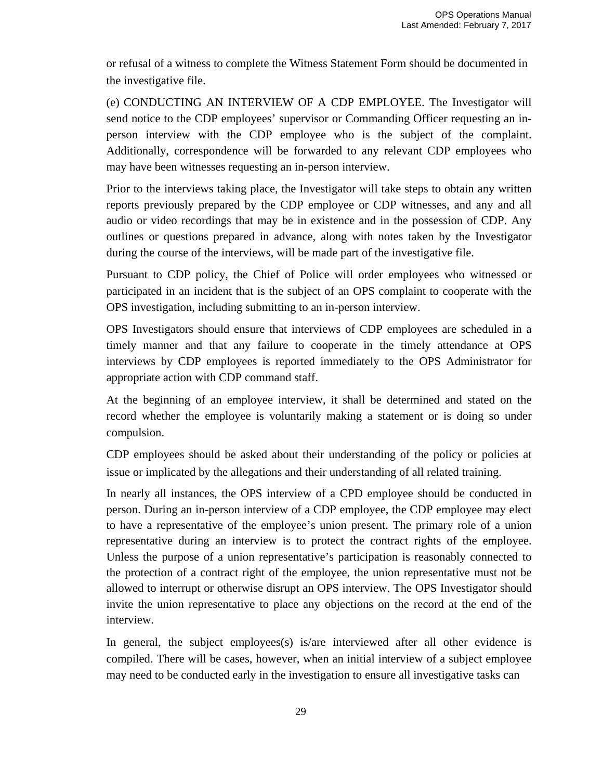or refusal of a witness to complete the Witness Statement Form should be documented in the investigative file.

(e) CONDUCTING AN INTERVIEW OF A CDP EMPLOYEE. The Investigator will send notice to the CDP employees' supervisor or Commanding Officer requesting an inperson interview with the CDP employee who is the subject of the complaint. Additionally, correspondence will be forwarded to any relevant CDP employees who may have been witnesses requesting an in-person interview.

Prior to the interviews taking place, the Investigator will take steps to obtain any written reports previously prepared by the CDP employee or CDP witnesses, and any and all audio or video recordings that may be in existence and in the possession of CDP. Any outlines or questions prepared in advance, along with notes taken by the Investigator during the course of the interviews, will be made part of the investigative file.

Pursuant to CDP policy, the Chief of Police will order employees who witnessed or participated in an incident that is the subject of an OPS complaint to cooperate with the OPS investigation, including submitting to an in-person interview.

OPS Investigators should ensure that interviews of CDP employees are scheduled in a timely manner and that any failure to cooperate in the timely attendance at OPS interviews by CDP employees is reported immediately to the OPS Administrator for appropriate action with CDP command staff.

At the beginning of an employee interview, it shall be determined and stated on the record whether the employee is voluntarily making a statement or is doing so under compulsion.

CDP employees should be asked about their understanding of the policy or policies at issue or implicated by the allegations and their understanding of all related training.

In nearly all instances, the OPS interview of a CPD employee should be conducted in person. During an in-person interview of a CDP employee, the CDP employee may elect to have a representative of the employee's union present. The primary role of a union representative during an interview is to protect the contract rights of the employee. Unless the purpose of a union representative's participation is reasonably connected to the protection of a contract right of the employee, the union representative must not be allowed to interrupt or otherwise disrupt an OPS interview. The OPS Investigator should invite the union representative to place any objections on the record at the end of the interview.

In general, the subject employees(s) is/are interviewed after all other evidence is compiled. There will be cases, however, when an initial interview of a subject employee may need to be conducted early in the investigation to ensure all investigative tasks can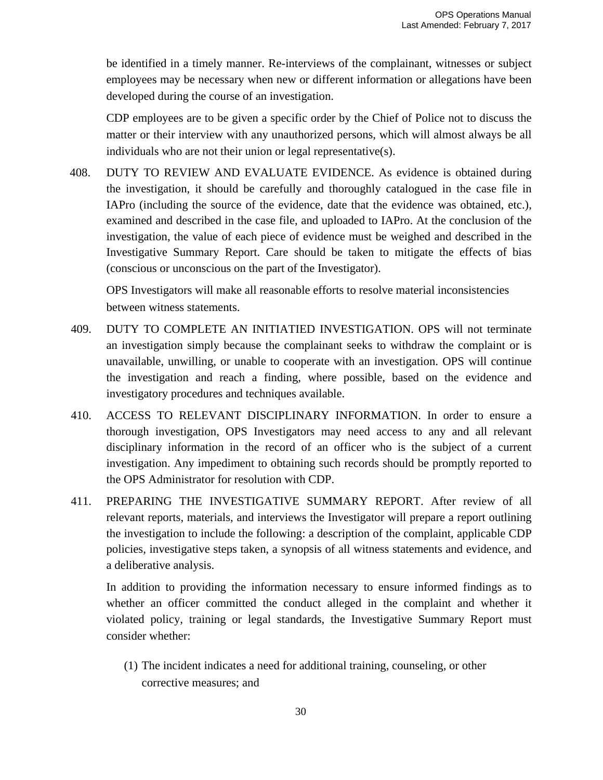be identified in a timely manner. Re-interviews of the complainant, witnesses or subject employees may be necessary when new or different information or allegations have been developed during the course of an investigation.

CDP employees are to be given a specific order by the Chief of Police not to discuss the matter or their interview with any unauthorized persons, which will almost always be all individuals who are not their union or legal representative(s).

408. DUTY TO REVIEW AND EVALUATE EVIDENCE. As evidence is obtained during the investigation, it should be carefully and thoroughly catalogued in the case file in IAPro (including the source of the evidence, date that the evidence was obtained, etc.), examined and described in the case file, and uploaded to IAPro. At the conclusion of the investigation, the value of each piece of evidence must be weighed and described in the Investigative Summary Report. Care should be taken to mitigate the effects of bias (conscious or unconscious on the part of the Investigator).

OPS Investigators will make all reasonable efforts to resolve material inconsistencies between witness statements.

- 409. DUTY TO COMPLETE AN INITIATIED INVESTIGATION. OPS will not terminate an investigation simply because the complainant seeks to withdraw the complaint or is unavailable, unwilling, or unable to cooperate with an investigation. OPS will continue the investigation and reach a finding, where possible, based on the evidence and investigatory procedures and techniques available.
- 410. ACCESS TO RELEVANT DISCIPLINARY INFORMATION. In order to ensure a thorough investigation, OPS Investigators may need access to any and all relevant disciplinary information in the record of an officer who is the subject of a current investigation. Any impediment to obtaining such records should be promptly reported to the OPS Administrator for resolution with CDP.
- 411. PREPARING THE INVESTIGATIVE SUMMARY REPORT. After review of all relevant reports, materials, and interviews the Investigator will prepare a report outlining the investigation to include the following: a description of the complaint, applicable CDP policies, investigative steps taken, a synopsis of all witness statements and evidence, and a deliberative analysis.

In addition to providing the information necessary to ensure informed findings as to whether an officer committed the conduct alleged in the complaint and whether it violated policy, training or legal standards, the Investigative Summary Report must consider whether:

(1) The incident indicates a need for additional training, counseling, or other corrective measures; and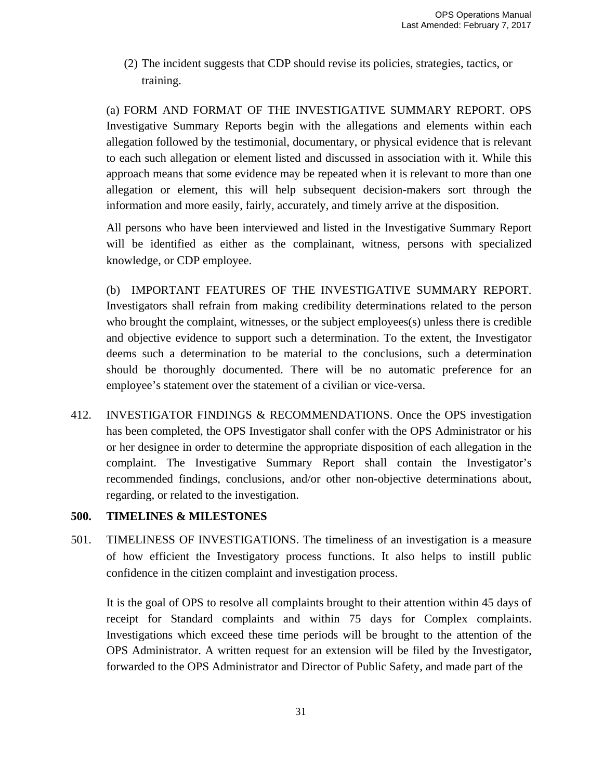(2) The incident suggests that CDP should revise its policies, strategies, tactics, or training.

(a) FORM AND FORMAT OF THE INVESTIGATIVE SUMMARY REPORT. OPS Investigative Summary Reports begin with the allegations and elements within each allegation followed by the testimonial, documentary, or physical evidence that is relevant to each such allegation or element listed and discussed in association with it. While this approach means that some evidence may be repeated when it is relevant to more than one allegation or element, this will help subsequent decision-makers sort through the information and more easily, fairly, accurately, and timely arrive at the disposition.

All persons who have been interviewed and listed in the Investigative Summary Report will be identified as either as the complainant, witness, persons with specialized knowledge, or CDP employee.

(b) IMPORTANT FEATURES OF THE INVESTIGATIVE SUMMARY REPORT. Investigators shall refrain from making credibility determinations related to the person who brought the complaint, witnesses, or the subject employees(s) unless there is credible and objective evidence to support such a determination. To the extent, the Investigator deems such a determination to be material to the conclusions, such a determination should be thoroughly documented. There will be no automatic preference for an employee's statement over the statement of a civilian or vice-versa.

412. INVESTIGATOR FINDINGS & RECOMMENDATIONS. Once the OPS investigation has been completed, the OPS Investigator shall confer with the OPS Administrator or his or her designee in order to determine the appropriate disposition of each allegation in the complaint. The Investigative Summary Report shall contain the Investigator's recommended findings, conclusions, and/or other non-objective determinations about, regarding, or related to the investigation.

# **500. TIMELINES & MILESTONES**

501. TIMELINESS OF INVESTIGATIONS. The timeliness of an investigation is a measure of how efficient the Investigatory process functions. It also helps to instill public confidence in the citizen complaint and investigation process.

It is the goal of OPS to resolve all complaints brought to their attention within 45 days of receipt for Standard complaints and within 75 days for Complex complaints. Investigations which exceed these time periods will be brought to the attention of the OPS Administrator. A written request for an extension will be filed by the Investigator, forwarded to the OPS Administrator and Director of Public Safety, and made part of the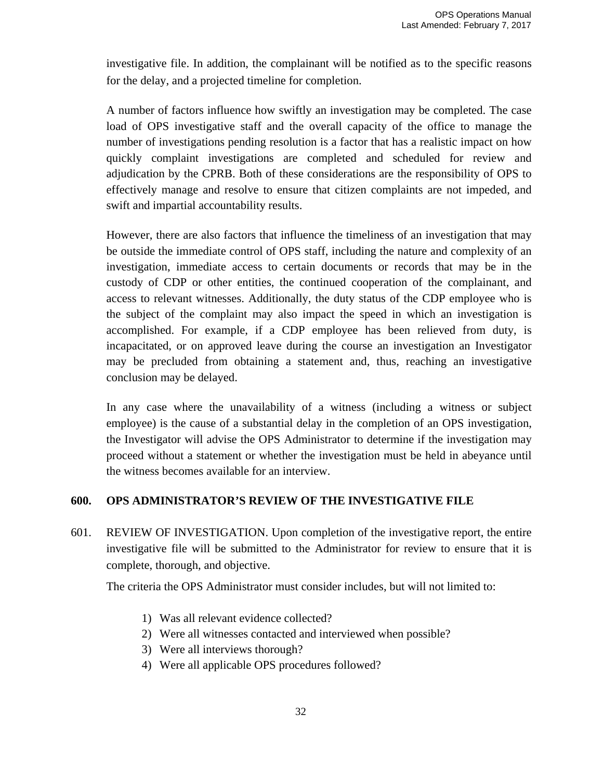investigative file. In addition, the complainant will be notified as to the specific reasons for the delay, and a projected timeline for completion.

A number of factors influence how swiftly an investigation may be completed. The case load of OPS investigative staff and the overall capacity of the office to manage the number of investigations pending resolution is a factor that has a realistic impact on how quickly complaint investigations are completed and scheduled for review and adjudication by the CPRB. Both of these considerations are the responsibility of OPS to effectively manage and resolve to ensure that citizen complaints are not impeded, and swift and impartial accountability results.

However, there are also factors that influence the timeliness of an investigation that may be outside the immediate control of OPS staff, including the nature and complexity of an investigation, immediate access to certain documents or records that may be in the custody of CDP or other entities, the continued cooperation of the complainant, and access to relevant witnesses. Additionally, the duty status of the CDP employee who is the subject of the complaint may also impact the speed in which an investigation is accomplished. For example, if a CDP employee has been relieved from duty, is incapacitated, or on approved leave during the course an investigation an Investigator may be precluded from obtaining a statement and, thus, reaching an investigative conclusion may be delayed.

In any case where the unavailability of a witness (including a witness or subject employee) is the cause of a substantial delay in the completion of an OPS investigation, the Investigator will advise the OPS Administrator to determine if the investigation may proceed without a statement or whether the investigation must be held in abeyance until the witness becomes available for an interview.

## **600. OPS ADMINISTRATOR'S REVIEW OF THE INVESTIGATIVE FILE**

601. REVIEW OF INVESTIGATION. Upon completion of the investigative report, the entire investigative file will be submitted to the Administrator for review to ensure that it is complete, thorough, and objective.

The criteria the OPS Administrator must consider includes, but will not limited to:

- 1) Was all relevant evidence collected?
- 2) Were all witnesses contacted and interviewed when possible?
- 3) Were all interviews thorough?
- 4) Were all applicable OPS procedures followed?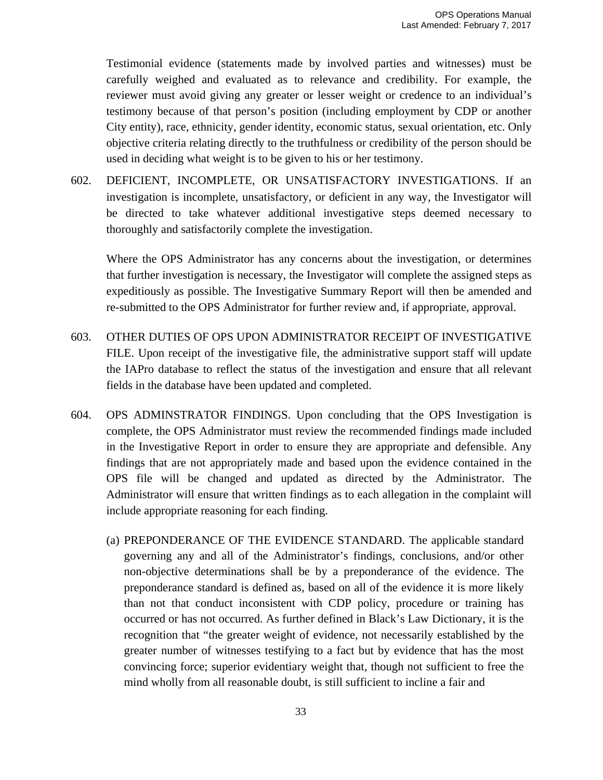Testimonial evidence (statements made by involved parties and witnesses) must be carefully weighed and evaluated as to relevance and credibility. For example, the reviewer must avoid giving any greater or lesser weight or credence to an individual's testimony because of that person's position (including employment by CDP or another City entity), race, ethnicity, gender identity, economic status, sexual orientation, etc. Only objective criteria relating directly to the truthfulness or credibility of the person should be used in deciding what weight is to be given to his or her testimony.

602. DEFICIENT, INCOMPLETE, OR UNSATISFACTORY INVESTIGATIONS. If an investigation is incomplete, unsatisfactory, or deficient in any way, the Investigator will be directed to take whatever additional investigative steps deemed necessary to thoroughly and satisfactorily complete the investigation.

Where the OPS Administrator has any concerns about the investigation, or determines that further investigation is necessary, the Investigator will complete the assigned steps as expeditiously as possible. The Investigative Summary Report will then be amended and re-submitted to the OPS Administrator for further review and, if appropriate, approval.

- 603. OTHER DUTIES OF OPS UPON ADMINISTRATOR RECEIPT OF INVESTIGATIVE FILE. Upon receipt of the investigative file, the administrative support staff will update the IAPro database to reflect the status of the investigation and ensure that all relevant fields in the database have been updated and completed.
- 604. OPS ADMINSTRATOR FINDINGS. Upon concluding that the OPS Investigation is complete, the OPS Administrator must review the recommended findings made included in the Investigative Report in order to ensure they are appropriate and defensible. Any findings that are not appropriately made and based upon the evidence contained in the OPS file will be changed and updated as directed by the Administrator. The Administrator will ensure that written findings as to each allegation in the complaint will include appropriate reasoning for each finding.
	- (a) PREPONDERANCE OF THE EVIDENCE STANDARD. The applicable standard governing any and all of the Administrator's findings, conclusions, and/or other non-objective determinations shall be by a preponderance of the evidence. The preponderance standard is defined as, based on all of the evidence it is more likely than not that conduct inconsistent with CDP policy, procedure or training has occurred or has not occurred. As further defined in Black's Law Dictionary, it is the recognition that "the greater weight of evidence, not necessarily established by the greater number of witnesses testifying to a fact but by evidence that has the most convincing force; superior evidentiary weight that, though not sufficient to free the mind wholly from all reasonable doubt, is still sufficient to incline a fair and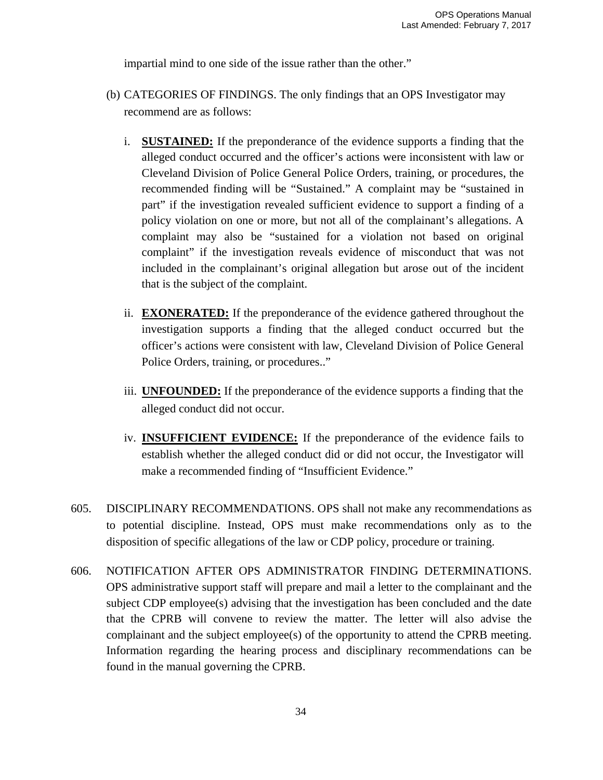impartial mind to one side of the issue rather than the other."

- (b) CATEGORIES OF FINDINGS. The only findings that an OPS Investigator may recommend are as follows:
	- i. **SUSTAINED:** If the preponderance of the evidence supports a finding that the alleged conduct occurred and the officer's actions were inconsistent with law or Cleveland Division of Police General Police Orders, training, or procedures, the recommended finding will be "Sustained." A complaint may be "sustained in part" if the investigation revealed sufficient evidence to support a finding of a policy violation on one or more, but not all of the complainant's allegations. A complaint may also be "sustained for a violation not based on original complaint" if the investigation reveals evidence of misconduct that was not included in the complainant's original allegation but arose out of the incident that is the subject of the complaint.
	- ii. **EXONERATED:** If the preponderance of the evidence gathered throughout the investigation supports a finding that the alleged conduct occurred but the officer's actions were consistent with law, Cleveland Division of Police General Police Orders, training, or procedures.."
	- iii. **UNFOUNDED:** If the preponderance of the evidence supports a finding that the alleged conduct did not occur.
	- iv. **INSUFFICIENT EVIDENCE:** If the preponderance of the evidence fails to establish whether the alleged conduct did or did not occur, the Investigator will make a recommended finding of "Insufficient Evidence."
- 605. DISCIPLINARY RECOMMENDATIONS. OPS shall not make any recommendations as to potential discipline. Instead, OPS must make recommendations only as to the disposition of specific allegations of the law or CDP policy, procedure or training.
- 606. NOTIFICATION AFTER OPS ADMINISTRATOR FINDING DETERMINATIONS. OPS administrative support staff will prepare and mail a letter to the complainant and the subject CDP employee(s) advising that the investigation has been concluded and the date that the CPRB will convene to review the matter. The letter will also advise the complainant and the subject employee(s) of the opportunity to attend the CPRB meeting. Information regarding the hearing process and disciplinary recommendations can be found in the manual governing the CPRB.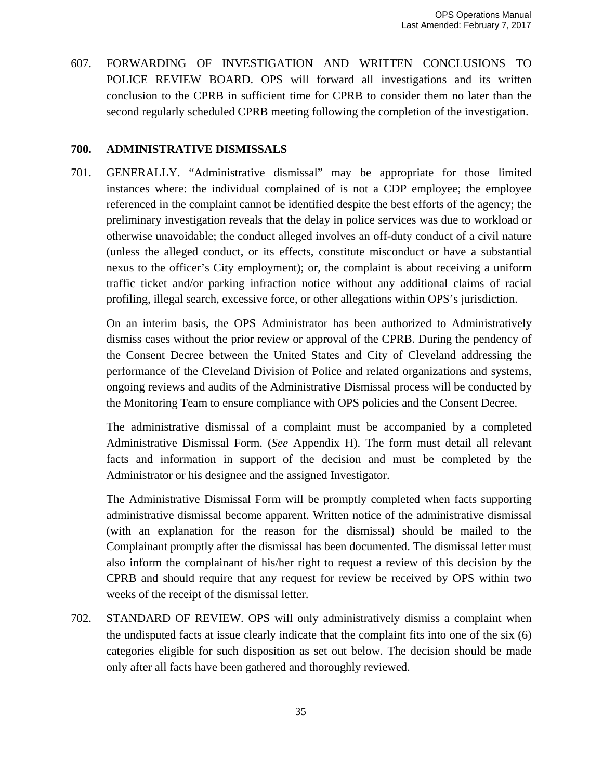607. FORWARDING OF INVESTIGATION AND WRITTEN CONCLUSIONS TO POLICE REVIEW BOARD. OPS will forward all investigations and its written conclusion to the CPRB in sufficient time for CPRB to consider them no later than the second regularly scheduled CPRB meeting following the completion of the investigation.

## **700. ADMINISTRATIVE DISMISSALS**

701. GENERALLY. "Administrative dismissal" may be appropriate for those limited instances where: the individual complained of is not a CDP employee; the employee referenced in the complaint cannot be identified despite the best efforts of the agency; the preliminary investigation reveals that the delay in police services was due to workload or otherwise unavoidable; the conduct alleged involves an off-duty conduct of a civil nature (unless the alleged conduct, or its effects, constitute misconduct or have a substantial nexus to the officer's City employment); or, the complaint is about receiving a uniform traffic ticket and/or parking infraction notice without any additional claims of racial profiling, illegal search, excessive force, or other allegations within OPS's jurisdiction.

On an interim basis, the OPS Administrator has been authorized to Administratively dismiss cases without the prior review or approval of the CPRB. During the pendency of the Consent Decree between the United States and City of Cleveland addressing the performance of the Cleveland Division of Police and related organizations and systems, ongoing reviews and audits of the Administrative Dismissal process will be conducted by the Monitoring Team to ensure compliance with OPS policies and the Consent Decree.

The administrative dismissal of a complaint must be accompanied by a completed Administrative Dismissal Form. (*See* Appendix H). The form must detail all relevant facts and information in support of the decision and must be completed by the Administrator or his designee and the assigned Investigator.

The Administrative Dismissal Form will be promptly completed when facts supporting administrative dismissal become apparent. Written notice of the administrative dismissal (with an explanation for the reason for the dismissal) should be mailed to the Complainant promptly after the dismissal has been documented. The dismissal letter must also inform the complainant of his/her right to request a review of this decision by the CPRB and should require that any request for review be received by OPS within two weeks of the receipt of the dismissal letter.

702. STANDARD OF REVIEW. OPS will only administratively dismiss a complaint when the undisputed facts at issue clearly indicate that the complaint fits into one of the six (6) categories eligible for such disposition as set out below. The decision should be made only after all facts have been gathered and thoroughly reviewed.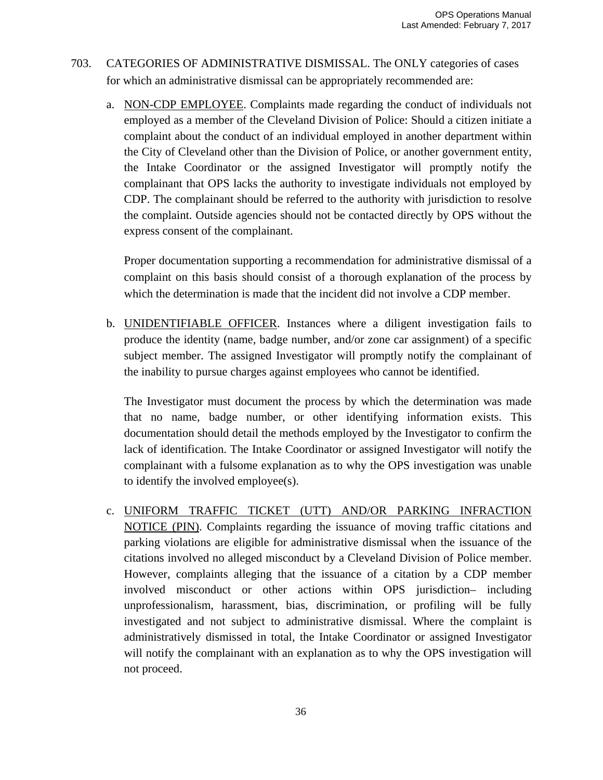- 703. CATEGORIES OF ADMINISTRATIVE DISMISSAL. The ONLY categories of cases for which an administrative dismissal can be appropriately recommended are:
	- a. NON-CDP EMPLOYEE. Complaints made regarding the conduct of individuals not employed as a member of the Cleveland Division of Police: Should a citizen initiate a complaint about the conduct of an individual employed in another department within the City of Cleveland other than the Division of Police, or another government entity, the Intake Coordinator or the assigned Investigator will promptly notify the complainant that OPS lacks the authority to investigate individuals not employed by CDP. The complainant should be referred to the authority with jurisdiction to resolve the complaint. Outside agencies should not be contacted directly by OPS without the express consent of the complainant.

Proper documentation supporting a recommendation for administrative dismissal of a complaint on this basis should consist of a thorough explanation of the process by which the determination is made that the incident did not involve a CDP member.

b. UNIDENTIFIABLE OFFICER. Instances where a diligent investigation fails to produce the identity (name, badge number, and/or zone car assignment) of a specific subject member. The assigned Investigator will promptly notify the complainant of the inability to pursue charges against employees who cannot be identified.

The Investigator must document the process by which the determination was made that no name, badge number, or other identifying information exists. This documentation should detail the methods employed by the Investigator to confirm the lack of identification. The Intake Coordinator or assigned Investigator will notify the complainant with a fulsome explanation as to why the OPS investigation was unable to identify the involved employee(s).

c. UNIFORM TRAFFIC TICKET (UTT) AND/OR PARKING INFRACTION NOTICE (PIN). Complaints regarding the issuance of moving traffic citations and parking violations are eligible for administrative dismissal when the issuance of the citations involved no alleged misconduct by a Cleveland Division of Police member. However, complaints alleging that the issuance of a citation by a CDP member involved misconduct or other actions within OPS jurisdiction– including unprofessionalism, harassment, bias, discrimination, or profiling will be fully investigated and not subject to administrative dismissal. Where the complaint is administratively dismissed in total, the Intake Coordinator or assigned Investigator will notify the complainant with an explanation as to why the OPS investigation will not proceed.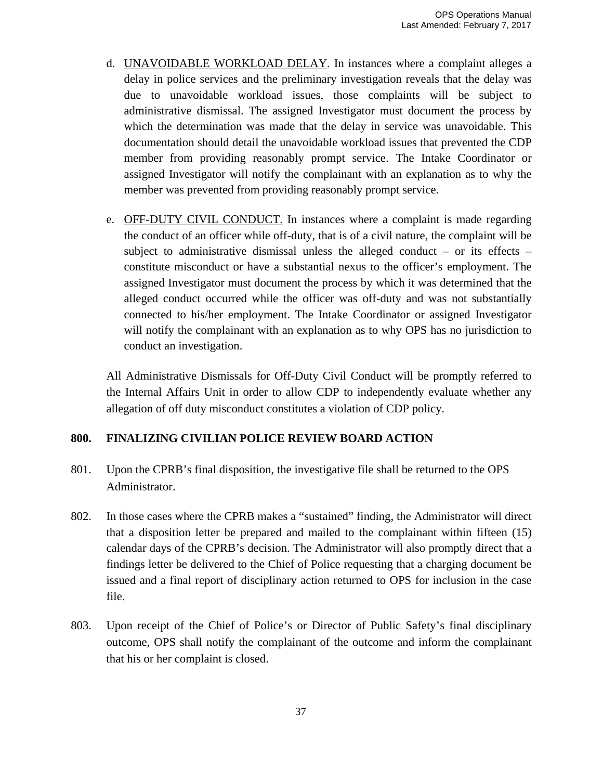- d. UNAVOIDABLE WORKLOAD DELAY. In instances where a complaint alleges a delay in police services and the preliminary investigation reveals that the delay was due to unavoidable workload issues, those complaints will be subject to administrative dismissal. The assigned Investigator must document the process by which the determination was made that the delay in service was unavoidable. This documentation should detail the unavoidable workload issues that prevented the CDP member from providing reasonably prompt service. The Intake Coordinator or assigned Investigator will notify the complainant with an explanation as to why the member was prevented from providing reasonably prompt service.
- e. OFF-DUTY CIVIL CONDUCT. In instances where a complaint is made regarding the conduct of an officer while off-duty, that is of a civil nature, the complaint will be subject to administrative dismissal unless the alleged conduct – or its effects – constitute misconduct or have a substantial nexus to the officer's employment. The assigned Investigator must document the process by which it was determined that the alleged conduct occurred while the officer was off-duty and was not substantially connected to his/her employment. The Intake Coordinator or assigned Investigator will notify the complainant with an explanation as to why OPS has no jurisdiction to conduct an investigation.

All Administrative Dismissals for Off-Duty Civil Conduct will be promptly referred to the Internal Affairs Unit in order to allow CDP to independently evaluate whether any allegation of off duty misconduct constitutes a violation of CDP policy.

## **800. FINALIZING CIVILIAN POLICE REVIEW BOARD ACTION**

- 801. Upon the CPRB's final disposition, the investigative file shall be returned to the OPS Administrator.
- 802. In those cases where the CPRB makes a "sustained" finding, the Administrator will direct that a disposition letter be prepared and mailed to the complainant within fifteen (15) calendar days of the CPRB's decision. The Administrator will also promptly direct that a findings letter be delivered to the Chief of Police requesting that a charging document be issued and a final report of disciplinary action returned to OPS for inclusion in the case file.
- 803. Upon receipt of the Chief of Police's or Director of Public Safety's final disciplinary outcome, OPS shall notify the complainant of the outcome and inform the complainant that his or her complaint is closed.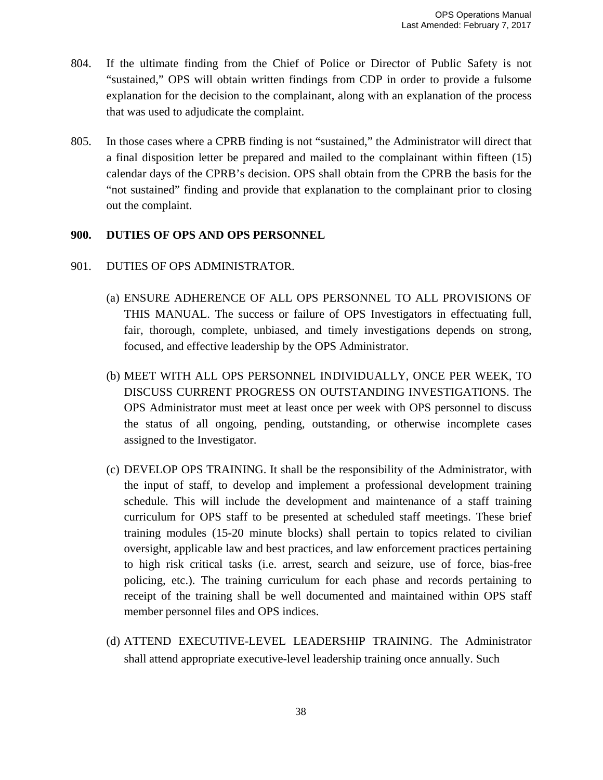- 804. If the ultimate finding from the Chief of Police or Director of Public Safety is not "sustained," OPS will obtain written findings from CDP in order to provide a fulsome explanation for the decision to the complainant, along with an explanation of the process that was used to adjudicate the complaint.
- 805. In those cases where a CPRB finding is not "sustained," the Administrator will direct that a final disposition letter be prepared and mailed to the complainant within fifteen (15) calendar days of the CPRB's decision. OPS shall obtain from the CPRB the basis for the "not sustained" finding and provide that explanation to the complainant prior to closing out the complaint.

## **900. DUTIES OF OPS AND OPS PERSONNEL**

## 901. DUTIES OF OPS ADMINISTRATOR.

- (a) ENSURE ADHERENCE OF ALL OPS PERSONNEL TO ALL PROVISIONS OF THIS MANUAL. The success or failure of OPS Investigators in effectuating full, fair, thorough, complete, unbiased, and timely investigations depends on strong, focused, and effective leadership by the OPS Administrator.
- (b) MEET WITH ALL OPS PERSONNEL INDIVIDUALLY, ONCE PER WEEK, TO DISCUSS CURRENT PROGRESS ON OUTSTANDING INVESTIGATIONS. The OPS Administrator must meet at least once per week with OPS personnel to discuss the status of all ongoing, pending, outstanding, or otherwise incomplete cases assigned to the Investigator.
- (c) DEVELOP OPS TRAINING. It shall be the responsibility of the Administrator, with the input of staff, to develop and implement a professional development training schedule. This will include the development and maintenance of a staff training curriculum for OPS staff to be presented at scheduled staff meetings. These brief training modules (15-20 minute blocks) shall pertain to topics related to civilian oversight, applicable law and best practices, and law enforcement practices pertaining to high risk critical tasks (i.e. arrest, search and seizure, use of force, bias-free policing, etc.). The training curriculum for each phase and records pertaining to receipt of the training shall be well documented and maintained within OPS staff member personnel files and OPS indices.
- (d) ATTEND EXECUTIVE-LEVEL LEADERSHIP TRAINING. The Administrator shall attend appropriate executive-level leadership training once annually. Such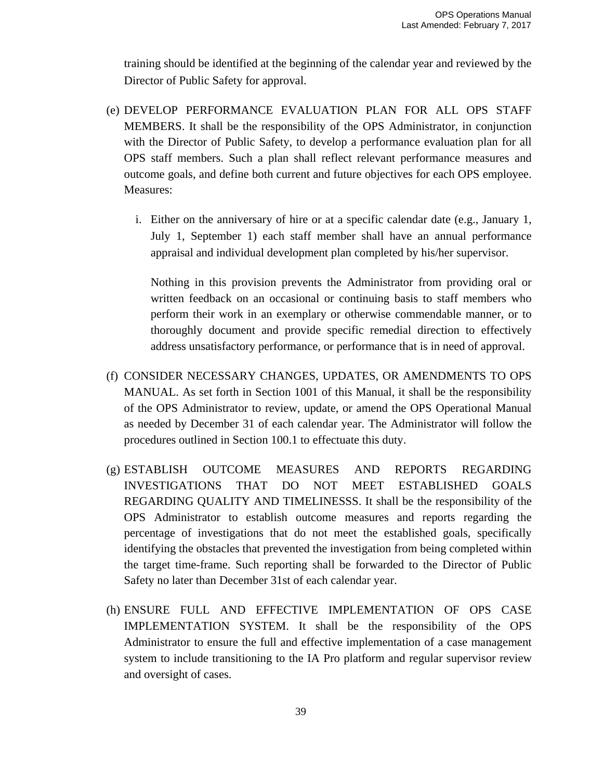training should be identified at the beginning of the calendar year and reviewed by the Director of Public Safety for approval.

- (e) DEVELOP PERFORMANCE EVALUATION PLAN FOR ALL OPS STAFF MEMBERS. It shall be the responsibility of the OPS Administrator, in conjunction with the Director of Public Safety, to develop a performance evaluation plan for all OPS staff members. Such a plan shall reflect relevant performance measures and outcome goals, and define both current and future objectives for each OPS employee. Measures:
	- i. Either on the anniversary of hire or at a specific calendar date (e.g., January 1, July 1, September 1) each staff member shall have an annual performance appraisal and individual development plan completed by his/her supervisor.

Nothing in this provision prevents the Administrator from providing oral or written feedback on an occasional or continuing basis to staff members who perform their work in an exemplary or otherwise commendable manner, or to thoroughly document and provide specific remedial direction to effectively address unsatisfactory performance, or performance that is in need of approval.

- (f) CONSIDER NECESSARY CHANGES, UPDATES, OR AMENDMENTS TO OPS MANUAL. As set forth in Section 1001 of this Manual, it shall be the responsibility of the OPS Administrator to review, update, or amend the OPS Operational Manual as needed by December 31 of each calendar year. The Administrator will follow the procedures outlined in Section 100.1 to effectuate this duty.
- (g) ESTABLISH OUTCOME MEASURES AND REPORTS REGARDING INVESTIGATIONS THAT DO NOT MEET ESTABLISHED GOALS REGARDING QUALITY AND TIMELINESSS. It shall be the responsibility of the OPS Administrator to establish outcome measures and reports regarding the percentage of investigations that do not meet the established goals, specifically identifying the obstacles that prevented the investigation from being completed within the target time-frame. Such reporting shall be forwarded to the Director of Public Safety no later than December 31st of each calendar year.
- (h) ENSURE FULL AND EFFECTIVE IMPLEMENTATION OF OPS CASE IMPLEMENTATION SYSTEM. It shall be the responsibility of the OPS Administrator to ensure the full and effective implementation of a case management system to include transitioning to the IA Pro platform and regular supervisor review and oversight of cases.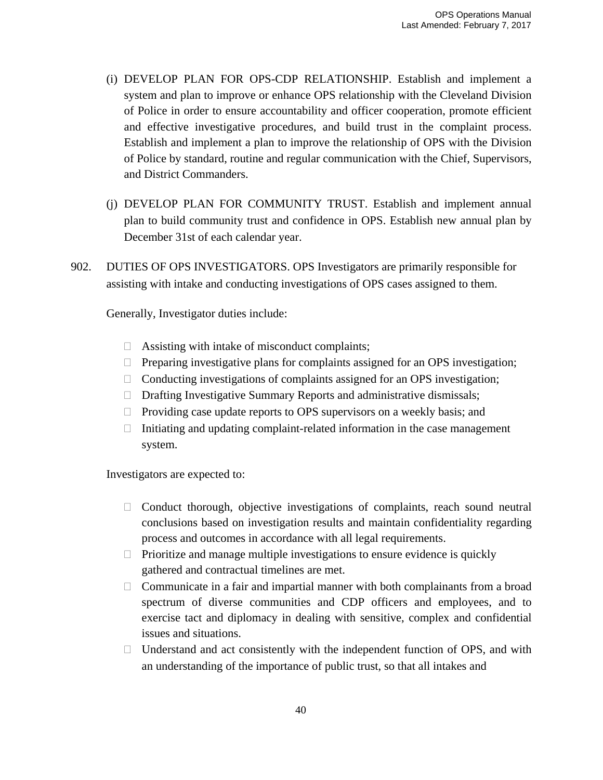- (i) DEVELOP PLAN FOR OPS-CDP RELATIONSHIP. Establish and implement a system and plan to improve or enhance OPS relationship with the Cleveland Division of Police in order to ensure accountability and officer cooperation, promote efficient and effective investigative procedures, and build trust in the complaint process. Establish and implement a plan to improve the relationship of OPS with the Division of Police by standard, routine and regular communication with the Chief, Supervisors, and District Commanders.
- (j) DEVELOP PLAN FOR COMMUNITY TRUST. Establish and implement annual plan to build community trust and confidence in OPS. Establish new annual plan by December 31st of each calendar year.
- 902. DUTIES OF OPS INVESTIGATORS. OPS Investigators are primarily responsible for assisting with intake and conducting investigations of OPS cases assigned to them.

Generally, Investigator duties include:

- $\Box$  Assisting with intake of misconduct complaints;
- $\Box$  Preparing investigative plans for complaints assigned for an OPS investigation;
- $\Box$  Conducting investigations of complaints assigned for an OPS investigation;
- $\Box$  Drafting Investigative Summary Reports and administrative dismissals;
- $\Box$  Providing case update reports to OPS supervisors on a weekly basis; and
- $\Box$  Initiating and updating complaint-related information in the case management system.

Investigators are expected to:

- $\Box$  Conduct thorough, objective investigations of complaints, reach sound neutral conclusions based on investigation results and maintain confidentiality regarding process and outcomes in accordance with all legal requirements.
- $\Box$  Prioritize and manage multiple investigations to ensure evidence is quickly gathered and contractual timelines are met.
- $\Box$  Communicate in a fair and impartial manner with both complainants from a broad spectrum of diverse communities and CDP officers and employees, and to exercise tact and diplomacy in dealing with sensitive, complex and confidential issues and situations.
- $\Box$  Understand and act consistently with the independent function of OPS, and with an understanding of the importance of public trust, so that all intakes and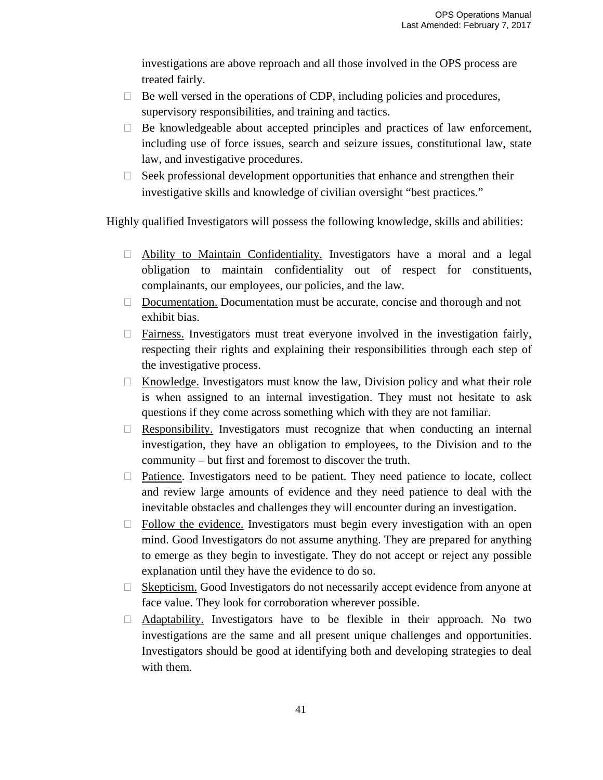investigations are above reproach and all those involved in the OPS process are treated fairly.

- $\Box$  Be well versed in the operations of CDP, including policies and procedures, supervisory responsibilities, and training and tactics.
- $\Box$  Be knowledgeable about accepted principles and practices of law enforcement, including use of force issues, search and seizure issues, constitutional law, state law, and investigative procedures.
- $\Box$  Seek professional development opportunities that enhance and strengthen their investigative skills and knowledge of civilian oversight "best practices."

Highly qualified Investigators will possess the following knowledge, skills and abilities:

- Ability to Maintain Confidentiality. Investigators have a moral and a legal obligation to maintain confidentiality out of respect for constituents, complainants, our employees, our policies, and the law.
- $\Box$  Documentation. Documentation must be accurate, concise and thorough and not exhibit bias.
- $\Box$  Fairness. Investigators must treat everyone involved in the investigation fairly, respecting their rights and explaining their responsibilities through each step of the investigative process.
- $\Box$  Knowledge. Investigators must know the law, Division policy and what their role is when assigned to an internal investigation. They must not hesitate to ask questions if they come across something which with they are not familiar.
- $\Box$  Responsibility. Investigators must recognize that when conducting an internal investigation, they have an obligation to employees, to the Division and to the community – but first and foremost to discover the truth.
- $\Box$  Patience. Investigators need to be patient. They need patience to locate, collect and review large amounts of evidence and they need patience to deal with the inevitable obstacles and challenges they will encounter during an investigation.
- $\Box$  Follow the evidence. Investigators must begin every investigation with an open mind. Good Investigators do not assume anything. They are prepared for anything to emerge as they begin to investigate. They do not accept or reject any possible explanation until they have the evidence to do so.
- $\Box$  Skepticism. Good Investigators do not necessarily accept evidence from anyone at face value. They look for corroboration wherever possible.
- $\Box$  Adaptability. Investigators have to be flexible in their approach. No two investigations are the same and all present unique challenges and opportunities. Investigators should be good at identifying both and developing strategies to deal with them.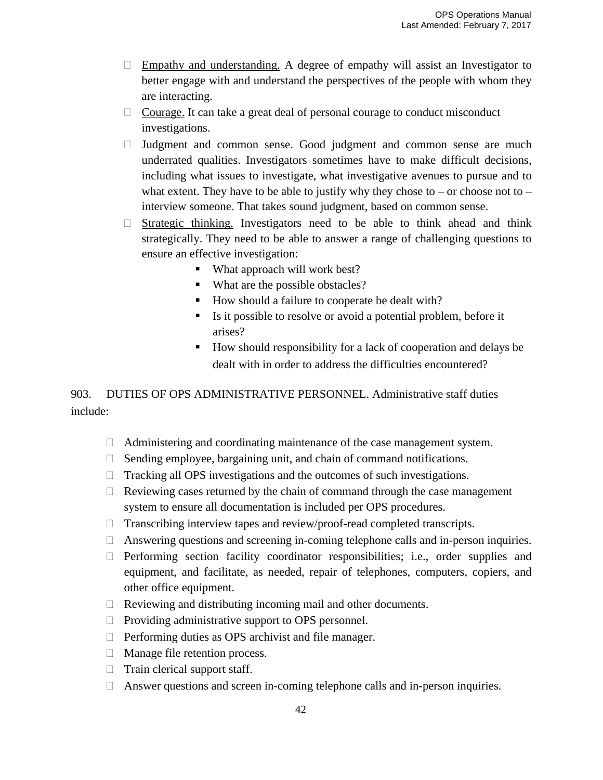- $\Box$  Empathy and understanding. A degree of empathy will assist an Investigator to better engage with and understand the perspectives of the people with whom they are interacting.
- $\Box$  Courage. It can take a great deal of personal courage to conduct misconduct investigations.
- $\Box$  Judgment and common sense. Good judgment and common sense are much underrated qualities. Investigators sometimes have to make difficult decisions, including what issues to investigate, what investigative avenues to pursue and to what extent. They have to be able to justify why they chose to – or choose not to – interview someone. That takes sound judgment, based on common sense.
- $\Box$  Strategic thinking. Investigators need to be able to think ahead and think strategically. They need to be able to answer a range of challenging questions to ensure an effective investigation:
	- What approach will work best?
	- What are the possible obstacles?
	- How should a failure to cooperate be dealt with?
	- Is it possible to resolve or avoid a potential problem, before it arises?
	- How should responsibility for a lack of cooperation and delays be dealt with in order to address the difficulties encountered?

903. DUTIES OF OPS ADMINISTRATIVE PERSONNEL. Administrative staff duties include:

- Administering and coordinating maintenance of the case management system.
- $\Box$  Sending employee, bargaining unit, and chain of command notifications.
- $\Box$  Tracking all OPS investigations and the outcomes of such investigations.
- $\Box$  Reviewing cases returned by the chain of command through the case management system to ensure all documentation is included per OPS procedures.
- $\Box$  Transcribing interview tapes and review/proof-read completed transcripts.
- $\Box$  Answering questions and screening in-coming telephone calls and in-person inquiries.
- $\Box$  Performing section facility coordinator responsibilities; i.e., order supplies and equipment, and facilitate, as needed, repair of telephones, computers, copiers, and other office equipment.
- $\Box$  Reviewing and distributing incoming mail and other documents.
- $\Box$  Providing administrative support to OPS personnel.
- $\Box$  Performing duties as OPS archivist and file manager.
- □ Manage file retention process.
- $\Box$  Train clerical support staff.
- $\Box$  Answer questions and screen in-coming telephone calls and in-person inquiries.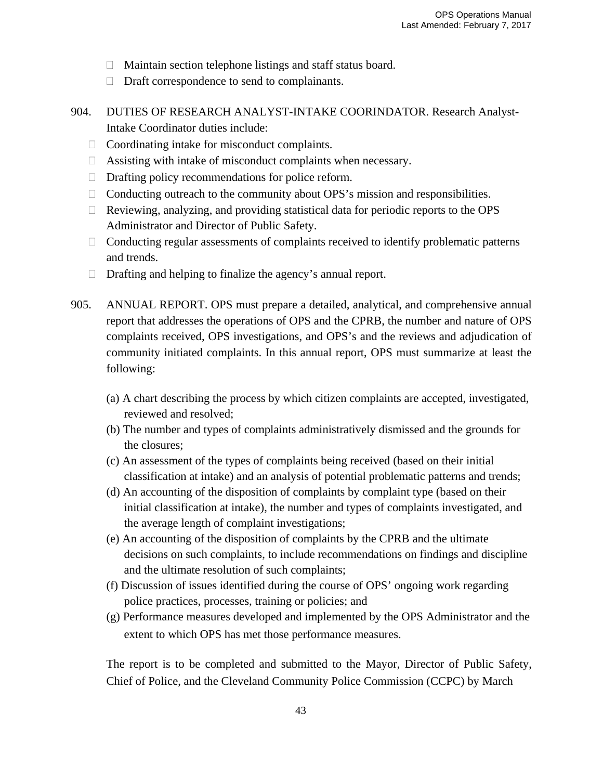- Maintain section telephone listings and staff status board.
- $\Box$  Draft correspondence to send to complainants.
- 904. DUTIES OF RESEARCH ANALYST-INTAKE COORINDATOR. Research Analyst-Intake Coordinator duties include:
	- $\Box$  Coordinating intake for misconduct complaints.
	- $\Box$  Assisting with intake of misconduct complaints when necessary.
	- $\Box$  Drafting policy recommendations for police reform.
	- $\Box$  Conducting outreach to the community about OPS's mission and responsibilities.
	- $\Box$  Reviewing, analyzing, and providing statistical data for periodic reports to the OPS Administrator and Director of Public Safety.
	- $\Box$  Conducting regular assessments of complaints received to identify problematic patterns and trends.
	- $\Box$  Drafting and helping to finalize the agency's annual report.
- 905. ANNUAL REPORT. OPS must prepare a detailed, analytical, and comprehensive annual report that addresses the operations of OPS and the CPRB, the number and nature of OPS complaints received, OPS investigations, and OPS's and the reviews and adjudication of community initiated complaints. In this annual report, OPS must summarize at least the following:
	- (a) A chart describing the process by which citizen complaints are accepted, investigated, reviewed and resolved;
	- (b) The number and types of complaints administratively dismissed and the grounds for the closures;
	- (c) An assessment of the types of complaints being received (based on their initial classification at intake) and an analysis of potential problematic patterns and trends;
	- (d) An accounting of the disposition of complaints by complaint type (based on their initial classification at intake), the number and types of complaints investigated, and the average length of complaint investigations;
	- (e) An accounting of the disposition of complaints by the CPRB and the ultimate decisions on such complaints, to include recommendations on findings and discipline and the ultimate resolution of such complaints;
	- (f) Discussion of issues identified during the course of OPS' ongoing work regarding police practices, processes, training or policies; and
	- (g) Performance measures developed and implemented by the OPS Administrator and the extent to which OPS has met those performance measures.

The report is to be completed and submitted to the Mayor, Director of Public Safety, Chief of Police, and the Cleveland Community Police Commission (CCPC) by March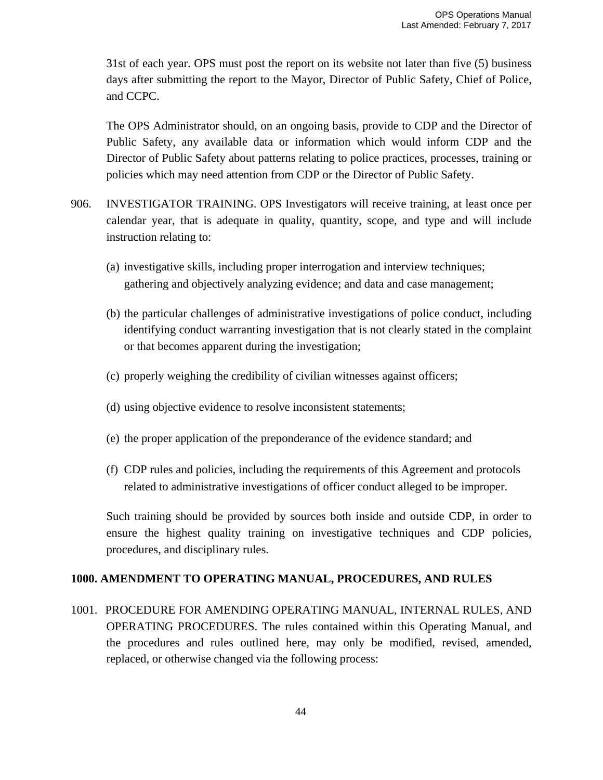31st of each year. OPS must post the report on its website not later than five (5) business days after submitting the report to the Mayor, Director of Public Safety, Chief of Police, and CCPC.

The OPS Administrator should, on an ongoing basis, provide to CDP and the Director of Public Safety, any available data or information which would inform CDP and the Director of Public Safety about patterns relating to police practices, processes, training or policies which may need attention from CDP or the Director of Public Safety.

- 906. INVESTIGATOR TRAINING. OPS Investigators will receive training, at least once per calendar year, that is adequate in quality, quantity, scope, and type and will include instruction relating to:
	- (a) investigative skills, including proper interrogation and interview techniques; gathering and objectively analyzing evidence; and data and case management;
	- (b) the particular challenges of administrative investigations of police conduct, including identifying conduct warranting investigation that is not clearly stated in the complaint or that becomes apparent during the investigation;
	- (c) properly weighing the credibility of civilian witnesses against officers;
	- (d) using objective evidence to resolve inconsistent statements;
	- (e) the proper application of the preponderance of the evidence standard; and
	- (f) CDP rules and policies, including the requirements of this Agreement and protocols related to administrative investigations of officer conduct alleged to be improper.

Such training should be provided by sources both inside and outside CDP, in order to ensure the highest quality training on investigative techniques and CDP policies, procedures, and disciplinary rules.

## **1000. AMENDMENT TO OPERATING MANUAL, PROCEDURES, AND RULES**

1001. PROCEDURE FOR AMENDING OPERATING MANUAL, INTERNAL RULES, AND OPERATING PROCEDURES. The rules contained within this Operating Manual, and the procedures and rules outlined here, may only be modified, revised, amended, replaced, or otherwise changed via the following process: